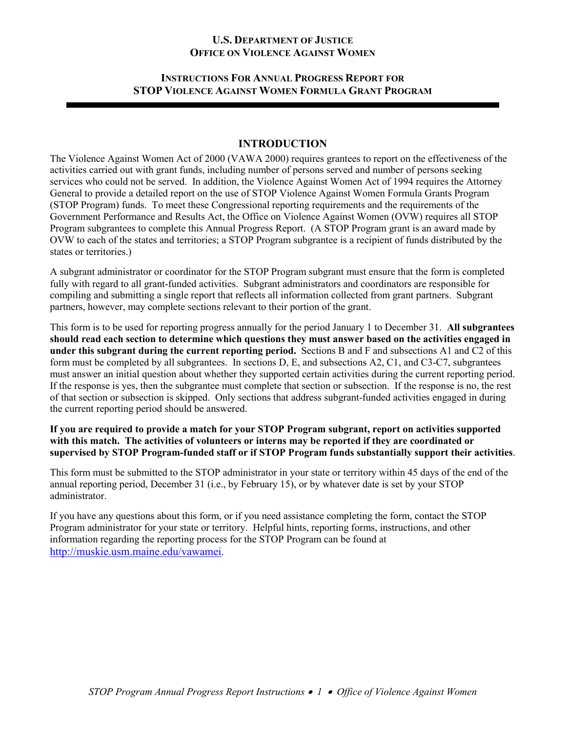# **U.S. DEPARTMENT OF JUSTICE OFFICE ON VIOLENCE AGAINST WOMEN**

# **INSTRUCTIONS FOR ANNUAL PROGRESS REPORT FOR STOP VIOLENCE AGAINST WOMEN FORMULA GRANT PROGRAM**

# **INTRODUCTION**

The Violence Against Women Act of 2000 (VAWA 2000) requires grantees to report on the effectiveness of the activities carried out with grant funds, including number of persons served and number of persons seeking services who could not be served. In addition, the Violence Against Women Act of 1994 requires the Attorney General to provide a detailed report on the use of STOP Violence Against Women Formula Grants Program (STOP Program) funds. To meet these Congressional reporting requirements and the requirements of the Government Performance and Results Act, the Office on Violence Against Women (OVW) requires all STOP Program subgrantees to complete this Annual Progress Report. (A STOP Program grant is an award made by OVW to each of the states and territories; a STOP Program subgrantee is a recipient of funds distributed by the states or territories.)

A subgrant administrator or coordinator for the STOP Program subgrant must ensure that the form is completed fully with regard to all grant-funded activities. Subgrant administrators and coordinators are responsible for compiling and submitting a single report that reflects all information collected from grant partners. Subgrant partners, however, may complete sections relevant to their portion of the grant.

This form is to be used for reporting progress annually for the period January 1 to December 31. **All subgrantees should read each section to determine which questions they must answer based on the activities engaged in under this subgrant during the current reporting period.** Sections B and F and subsections A1 and C2 of this form must be completed by all subgrantees. In sections D, E, and subsections A2, C1, and C3-C7, subgrantees must answer an initial question about whether they supported certain activities during the current reporting period. If the response is yes, then the subgrantee must complete that section or subsection. If the response is no, the rest of that section or subsection is skipped. Only sections that address subgrant-funded activities engaged in during the current reporting period should be answered.

### **If you are required to provide a match for your STOP Program subgrant, report on activities supported with this match. The activities of volunteers or interns may be reported if they are coordinated or supervised by STOP Program-funded staff or if STOP Program funds substantially support their activities**.

This form must be submitted to the STOP administrator in your state or territory within 45 days of the end of the annual reporting period, December 31 (i.e., by February 15), or by whatever date is set by your STOP administrator.

If you have any questions about this form, or if you need assistance completing the form, contact the STOP Program administrator for your state or territory. Helpful hints, reporting forms, instructions, and other information regarding the reporting process for the STOP Program can be found at [http://muskie.usm.maine.edu/vawamei.](http://muskie.usm.maine.edu/vawamei)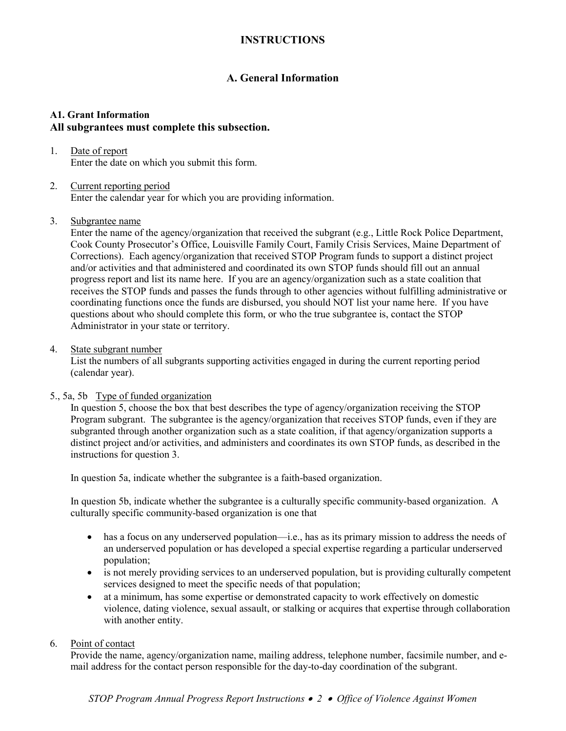# **INSTRUCTIONS**

# **A. General Information**

# **A1. Grant Information All subgrantees must complete this subsection.**

#### 1. Date of report Enter the date on which you submit this form.

## 2. Current reporting period Enter the calendar year for which you are providing information.

### 3. Subgrantee name

Enter the name of the agency/organization that received the subgrant (e.g., Little Rock Police Department, Cook County Prosecutor's Office, Louisville Family Court, Family Crisis Services, Maine Department of Corrections). Each agency/organization that received STOP Program funds to support a distinct project and/or activities and that administered and coordinated its own STOP funds should fill out an annual progress report and list its name here. If you are an agency/organization such as a state coalition that receives the STOP funds and passes the funds through to other agencies without fulfilling administrative or coordinating functions once the funds are disbursed, you should NOT list your name here. If you have questions about who should complete this form, or who the true subgrantee is, contact the STOP Administrator in your state or territory.

### 4. State subgrant number

List the numbers of all subgrants supporting activities engaged in during the current reporting period (calendar year).

# 5., 5a, 5b Type of funded organization

In question 5, choose the box that best describes the type of agency/organization receiving the STOP Program subgrant. The subgrantee is the agency/organization that receives STOP funds, even if they are subgranted through another organization such as a state coalition, if that agency/organization supports a distinct project and/or activities, and administers and coordinates its own STOP funds, as described in the instructions for question 3.

In question 5a, indicate whether the subgrantee is a faith-based organization.

In question 5b, indicate whether the subgrantee is a culturally specific community-based organization. A culturally specific community-based organization is one that

- has a focus on any underserved population—i.e., has as its primary mission to address the needs of an underserved population or has developed a special expertise regarding a particular underserved population;
- is not merely providing services to an underserved population, but is providing culturally competent services designed to meet the specific needs of that population;
- at a minimum, has some expertise or demonstrated capacity to work effectively on domestic violence, dating violence, sexual assault, or stalking or acquires that expertise through collaboration with another entity.

# 6. Point of contact

Provide the name, agency/organization name, mailing address, telephone number, facsimile number, and email address for the contact person responsible for the day-to-day coordination of the subgrant.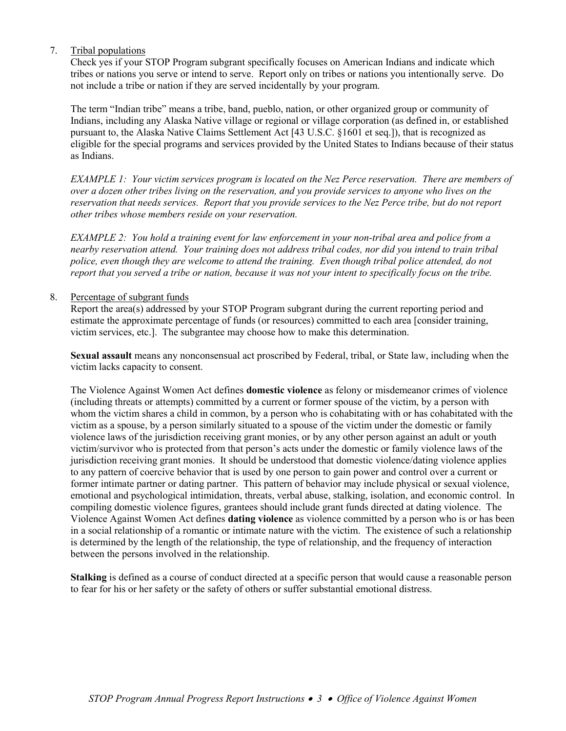# 7. Tribal populations

Check yes if your STOP Program subgrant specifically focuses on American Indians and indicate which tribes or nations you serve or intend to serve. Report only on tribes or nations you intentionally serve. Do not include a tribe or nation if they are served incidentally by your program.

The term "Indian tribe" means a tribe, band, pueblo, nation, or other organized group or community of Indians, including any Alaska Native village or regional or village corporation (as defined in, or established pursuant to, the Alaska Native Claims Settlement Act [43 U.S.C. §1601 et seq.]), that is recognized as eligible for the special programs and services provided by the United States to Indians because of their status as Indians.

*EXAMPLE 1: Your victim services program is located on the Nez Perce reservation. There are members of over a dozen other tribes living on the reservation, and you provide services to anyone who lives on the reservation that needs services. Report that you provide services to the Nez Perce tribe, but do not report other tribes whose members reside on your reservation.*

*EXAMPLE 2: You hold a training event for law enforcement in your non-tribal area and police from a nearby reservation attend. Your training does not address tribal codes, nor did you intend to train tribal police, even though they are welcome to attend the training. Even though tribal police attended, do not report that you served a tribe or nation, because it was not your intent to specifically focus on the tribe.*

### 8. Percentage of subgrant funds

Report the area(s) addressed by your STOP Program subgrant during the current reporting period and estimate the approximate percentage of funds (or resources) committed to each area [consider training, victim services, etc.]. The subgrantee may choose how to make this determination.

**Sexual assault** means any nonconsensual act proscribed by Federal, tribal, or State law, including when the victim lacks capacity to consent.

The Violence Against Women Act defines **domestic violence** as felony or misdemeanor crimes of violence (including threats or attempts) committed by a current or former spouse of the victim, by a person with whom the victim shares a child in common, by a person who is cohabitating with or has cohabitated with the victim as a spouse, by a person similarly situated to a spouse of the victim under the domestic or family violence laws of the jurisdiction receiving grant monies, or by any other person against an adult or youth victim/survivor who is protected from that person's acts under the domestic or family violence laws of the jurisdiction receiving grant monies. It should be understood that domestic violence/dating violence applies to any pattern of coercive behavior that is used by one person to gain power and control over a current or former intimate partner or dating partner. This pattern of behavior may include physical or sexual violence, emotional and psychological intimidation, threats, verbal abuse, stalking, isolation, and economic control. In compiling domestic violence figures, grantees should include grant funds directed at dating violence. The Violence Against Women Act defines **dating violence** as violence committed by a person who is or has been in a social relationship of a romantic or intimate nature with the victim. The existence of such a relationship is determined by the length of the relationship, the type of relationship, and the frequency of interaction between the persons involved in the relationship.

**Stalking** is defined as a course of conduct directed at a specific person that would cause a reasonable person to fear for his or her safety or the safety of others or suffer substantial emotional distress.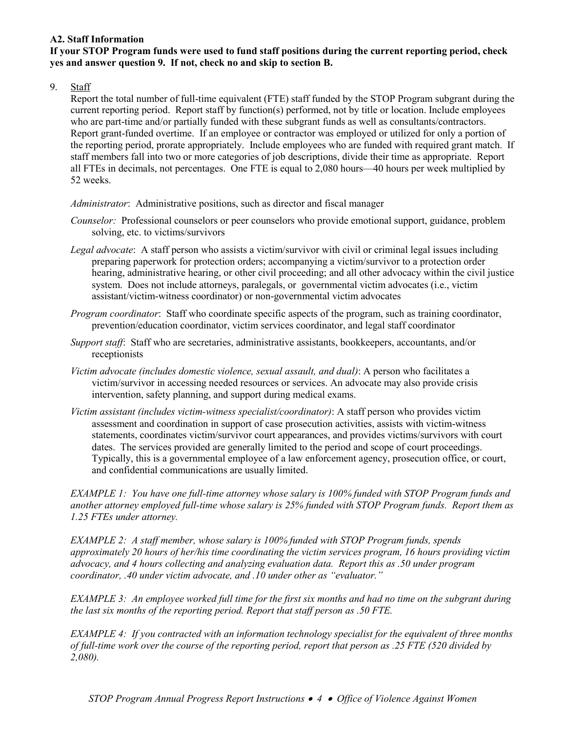### **A2. Staff Information**

### **If your STOP Program funds were used to fund staff positions during the current reporting period, check yes and answer question 9. If not, check no and skip to section B.**

## 9. Staff

Report the total number of full-time equivalent (FTE) staff funded by the STOP Program subgrant during the current reporting period. Report staff by function(s) performed, not by title or location. Include employees who are part-time and/or partially funded with these subgrant funds as well as consultants/contractors. Report grant-funded overtime. If an employee or contractor was employed or utilized for only a portion of the reporting period, prorate appropriately. Include employees who are funded with required grant match. If staff members fall into two or more categories of job descriptions, divide their time as appropriate. Report all FTEs in decimals, not percentages. One FTE is equal to 2,080 hours—40 hours per week multiplied by 52 weeks.

*Administrator*: Administrative positions, such as director and fiscal manager

- *Counselor:* Professional counselors or peer counselors who provide emotional support, guidance, problem solving, etc. to victims/survivors
- *Legal advocate*: A staff person who assists a victim/survivor with civil or criminal legal issues including preparing paperwork for protection orders; accompanying a victim/survivor to a protection order hearing, administrative hearing, or other civil proceeding; and all other advocacy within the civil justice system. Does not include attorneys, paralegals, or governmental victim advocates (i.e., victim assistant/victim-witness coordinator) or non-governmental victim advocates
- *Program coordinator*: Staff who coordinate specific aspects of the program, such as training coordinator, prevention/education coordinator, victim services coordinator, and legal staff coordinator
- *Support staff*: Staff who are secretaries, administrative assistants, bookkeepers, accountants, and/or receptionists
- *Victim advocate (includes domestic violence, sexual assault, and dual)*: A person who facilitates a victim/survivor in accessing needed resources or services. An advocate may also provide crisis intervention, safety planning, and support during medical exams.
- *Victim assistant (includes victim-witness specialist/coordinator)*: A staff person who provides victim assessment and coordination in support of case prosecution activities, assists with victim-witness statements, coordinates victim/survivor court appearances, and provides victims/survivors with court dates. The services provided are generally limited to the period and scope of court proceedings. Typically, this is a governmental employee of a law enforcement agency, prosecution office, or court, and confidential communications are usually limited.

*EXAMPLE 1: You have one full-time attorney whose salary is 100% funded with STOP Program funds and another attorney employed full-time whose salary is 25% funded with STOP Program funds. Report them as 1.25 FTEs under attorney.*

*EXAMPLE 2: A staff member, whose salary is 100% funded with STOP Program funds, spends approximately 20 hours of her/his time coordinating the victim services program, 16 hours providing victim advocacy, and 4 hours collecting and analyzing evaluation data. Report this as .50 under program coordinator, .40 under victim advocate, and .10 under other as "evaluator."*

*EXAMPLE 3: An employee worked full time for the first six months and had no time on the subgrant during the last six months of the reporting period. Report that staff person as .50 FTE.*

*EXAMPLE 4: If you contracted with an information technology specialist for the equivalent of three months of full-time work over the course of the reporting period, report that person as .25 FTE (520 divided by 2,080).*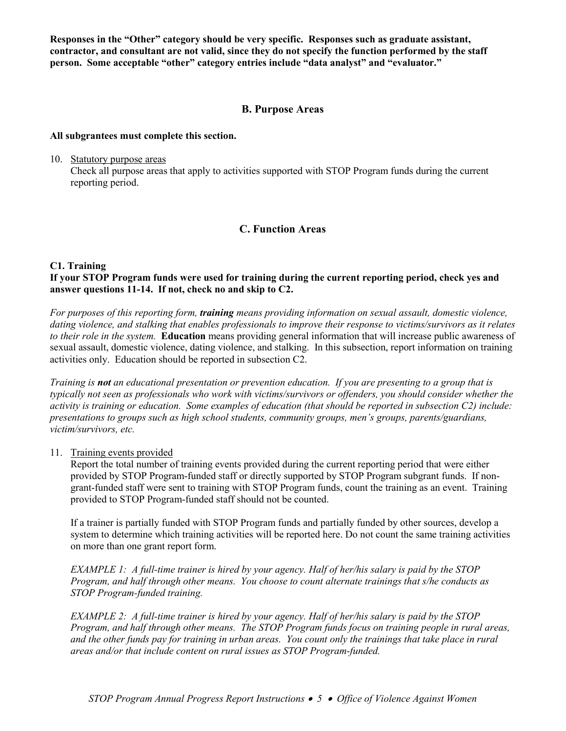**Responses in the "Other" category should be very specific. Responses such as graduate assistant, contractor, and consultant are not valid, since they do not specify the function performed by the staff person. Some acceptable "other" category entries include "data analyst" and "evaluator."**

# **B. Purpose Areas**

#### **All subgrantees must complete this section.**

10. Statutory purpose areas

Check all purpose areas that apply to activities supported with STOP Program funds during the current reporting period.

# **C. Function Areas**

### **C1. Training If your STOP Program funds were used for training during the current reporting period, check yes and answer questions 11-14. If not, check no and skip to C2.**

*For purposes of this reporting form, training means providing information on sexual assault, domestic violence, dating violence, and stalking that enables professionals to improve their response to victims/survivors as it relates to their role in the system.* **Education** means providing general information that will increase public awareness of sexual assault, domestic violence, dating violence, and stalking. In this subsection, report information on training activities only. Education should be reported in subsection C2.

*Training is not an educational presentation or prevention education. If you are presenting to a group that is typically not seen as professionals who work with victims/survivors or offenders, you should consider whether the activity is training or education. Some examples of education (that should be reported in subsection C2) include: presentations to groups such as high school students, community groups, men's groups, parents/guardians, victim/survivors, etc.*

### 11. Training events provided

Report the total number of training events provided during the current reporting period that were either provided by STOP Program-funded staff or directly supported by STOP Program subgrant funds. If nongrant-funded staff were sent to training with STOP Program funds, count the training as an event. Training provided to STOP Program-funded staff should not be counted.

If a trainer is partially funded with STOP Program funds and partially funded by other sources, develop a system to determine which training activities will be reported here. Do not count the same training activities on more than one grant report form.

*EXAMPLE 1: A full-time trainer is hired by your agency. Half of her/his salary is paid by the STOP Program, and half through other means. You choose to count alternate trainings that s/he conducts as STOP Program-funded training.* 

*EXAMPLE 2: A full-time trainer is hired by your agency. Half of her/his salary is paid by the STOP Program, and half through other means. The STOP Program funds focus on training people in rural areas, and the other funds pay for training in urban areas. You count only the trainings that take place in rural areas and/or that include content on rural issues as STOP Program-funded.*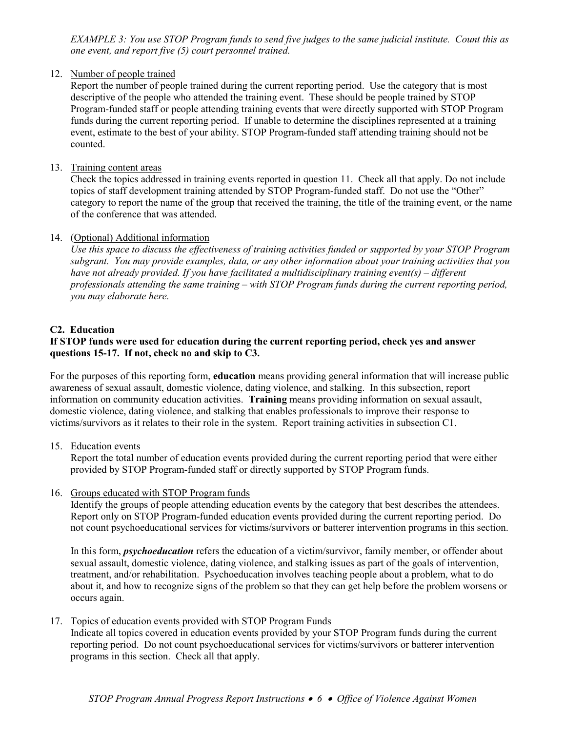*EXAMPLE 3: You use STOP Program funds to send five judges to the same judicial institute. Count this as one event, and report five (5) court personnel trained.* 

# 12. Number of people trained

Report the number of people trained during the current reporting period. Use the category that is most descriptive of the people who attended the training event. These should be people trained by STOP Program-funded staff or people attending training events that were directly supported with STOP Program funds during the current reporting period. If unable to determine the disciplines represented at a training event, estimate to the best of your ability. STOP Program-funded staff attending training should not be counted.

# 13. Training content areas

Check the topics addressed in training events reported in question 11. Check all that apply. Do not include topics of staff development training attended by STOP Program-funded staff. Do not use the "Other" category to report the name of the group that received the training, the title of the training event, or the name of the conference that was attended.

# 14. (Optional) Additional information

*Use this space to discuss the effectiveness of training activities funded or supported by your STOP Program subgrant. You may provide examples, data, or any other information about your training activities that you have not already provided. If you have facilitated a multidisciplinary training event(s) – different professionals attending the same training – with STOP Program funds during the current reporting period, you may elaborate here.*

# **C2. Education**

# **If STOP funds were used for education during the current reporting period, check yes and answer questions 15-17. If not, check no and skip to C3.**

For the purposes of this reporting form, **education** means providing general information that will increase public awareness of sexual assault, domestic violence, dating violence, and stalking. In this subsection, report information on community education activities. **Training** means providing information on sexual assault, domestic violence, dating violence, and stalking that enables professionals to improve their response to victims/survivors as it relates to their role in the system. Report training activities in subsection C1.

15. Education events

Report the total number of education events provided during the current reporting period that were either provided by STOP Program-funded staff or directly supported by STOP Program funds.

16. Groups educated with STOP Program funds

Identify the groups of people attending education events by the category that best describes the attendees. Report only on STOP Program-funded education events provided during the current reporting period. Do not count psychoeducational services for victims/survivors or batterer intervention programs in this section.

In this form, *psychoeducation* refers the education of a victim/survivor, family member, or offender about sexual assault, domestic violence, dating violence, and stalking issues as part of the goals of intervention, treatment, and/or rehabilitation. Psychoeducation involves teaching people about a problem, what to do about it, and how to recognize signs of the problem so that they can get help before the problem worsens or occurs again.

# 17. Topics of education events provided with STOP Program Funds

Indicate all topics covered in education events provided by your STOP Program funds during the current reporting period. Do not count psychoeducational services for victims/survivors or batterer intervention programs in this section. Check all that apply.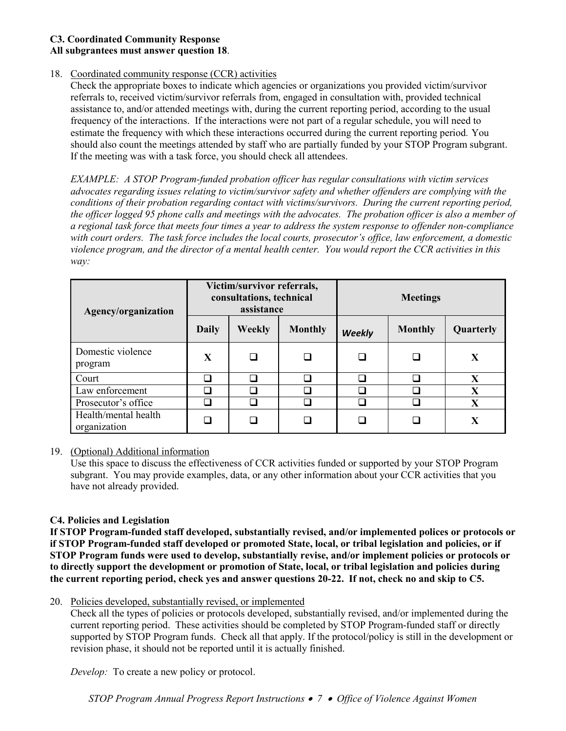#### **C3. Coordinated Community Response All subgrantees must answer question 18**.

## 18. Coordinated community response (CCR) activities

Check the appropriate boxes to indicate which agencies or organizations you provided victim/survivor referrals to, received victim/survivor referrals from, engaged in consultation with, provided technical assistance to, and/or attended meetings with, during the current reporting period, according to the usual frequency of the interactions. If the interactions were not part of a regular schedule, you will need to estimate the frequency with which these interactions occurred during the current reporting period. You should also count the meetings attended by staff who are partially funded by your STOP Program subgrant. If the meeting was with a task force, you should check all attendees.

*EXAMPLE: A STOP Program-funded probation officer has regular consultations with victim services advocates regarding issues relating to victim/survivor safety and whether offenders are complying with the conditions of their probation regarding contact with victims/survivors. During the current reporting period, the officer logged 95 phone calls and meetings with the advocates. The probation officer is also a member of a regional task force that meets four times a year to address the system response to offender non-compliance with court orders. The task force includes the local courts, prosecutor's office, law enforcement, a domestic violence program, and the director of a mental health center. You would report the CCR activities in this way:*

| Agency/organization                  | Victim/survivor referrals,<br>consultations, technical<br>assistance |               |                | <b>Meetings</b> |                |           |
|--------------------------------------|----------------------------------------------------------------------|---------------|----------------|-----------------|----------------|-----------|
|                                      | <b>Daily</b>                                                         | <b>Weekly</b> | <b>Monthly</b> | <b>Weekly</b>   | <b>Monthly</b> | Quarterly |
| Domestic violence<br>program         | X                                                                    |               |                |                 |                | X         |
| Court                                |                                                                      |               |                |                 |                | X         |
| Law enforcement                      |                                                                      |               |                |                 |                | X         |
| Prosecutor's office                  |                                                                      |               |                |                 |                | X         |
| Health/mental health<br>organization |                                                                      |               |                |                 |                |           |

# 19. (Optional) Additional information

Use this space to discuss the effectiveness of CCR activities funded or supported by your STOP Program subgrant. You may provide examples, data, or any other information about your CCR activities that you have not already provided.

# **C4. Policies and Legislation**

**If STOP Program-funded staff developed, substantially revised, and/or implemented polices or protocols or if STOP Program-funded staff developed or promoted State, local, or tribal legislation and policies, or if STOP Program funds were used to develop, substantially revise, and/or implement policies or protocols or to directly support the development or promotion of State, local, or tribal legislation and policies during the current reporting period, check yes and answer questions 20-22. If not, check no and skip to C5.**

### 20. Policies developed, substantially revised, or implemented

Check all the types of policies or protocols developed, substantially revised, and/or implemented during the current reporting period. These activities should be completed by STOP Program-funded staff or directly supported by STOP Program funds. Check all that apply. If the protocol/policy is still in the development or revision phase, it should not be reported until it is actually finished.

*Develop:* To create a new policy or protocol.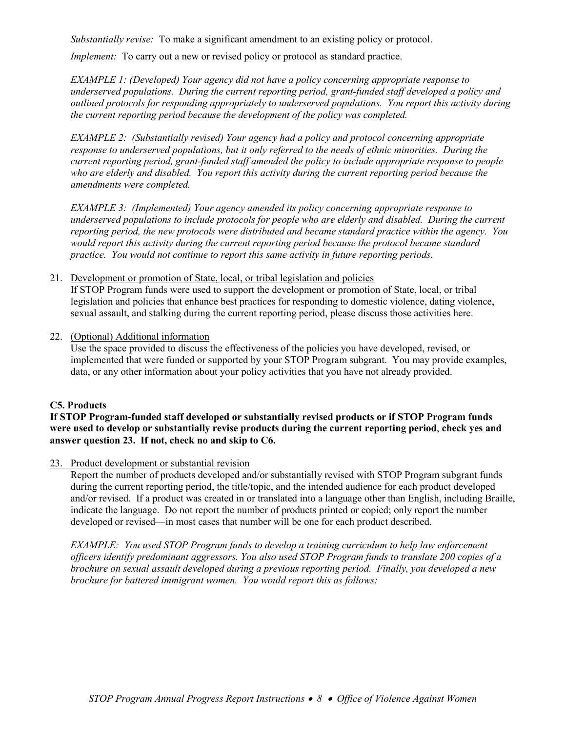*Substantially revise:* To make a significant amendment to an existing policy or protocol.

*Implement:* To carry out a new or revised policy or protocol as standard practice.

*EXAMPLE 1: (Developed) Your agency did not have a policy concerning appropriate response to underserved populations. During the current reporting period, grant-funded staff developed a policy and outlined protocols for responding appropriately to underserved populations. You report this activity during the current reporting period because the development of the policy was completed.*

*EXAMPLE 2: (Substantially revised) Your agency had a policy and protocol concerning appropriate response to underserved populations, but it only referred to the needs of ethnic minorities. During the current reporting period, grant-funded staff amended the policy to include appropriate response to people who are elderly and disabled. You report this activity during the current reporting period because the amendments were completed.*

*EXAMPLE 3: (Implemented) Your agency amended its policy concerning appropriate response to underserved populations to include protocols for people who are elderly and disabled. During the current reporting period, the new protocols were distributed and became standard practice within the agency. You would report this activity during the current reporting period because the protocol became standard practice. You would not continue to report this same activity in future reporting periods.* 

### 21. Development or promotion of State, local, or tribal legislation and policies

If STOP Program funds were used to support the development or promotion of State, local, or tribal legislation and policies that enhance best practices for responding to domestic violence, dating violence, sexual assault, and stalking during the current reporting period, please discuss those activities here.

22. (Optional) Additional information

Use the space provided to discuss the effectiveness of the policies you have developed, revised, or implemented that were funded or supported by your STOP Program subgrant. You may provide examples, data, or any other information about your policy activities that you have not already provided.

# **C5. Products**

## **If STOP Program-funded staff developed or substantially revised products or if STOP Program funds were used to develop or substantially revise products during the current reporting period**, **check yes and answer question 23. If not, check no and skip to C6.**

### 23. Product development or substantial revision

Report the number of products developed and/or substantially revised with STOP Program subgrant funds during the current reporting period, the title/topic, and the intended audience for each product developed and/or revised. If a product was created in or translated into a language other than English, including Braille, indicate the language. Do not report the number of products printed or copied; only report the number developed or revised—in most cases that number will be one for each product described.

*EXAMPLE: You used STOP Program funds to develop a training curriculum to help law enforcement officers identify predominant aggressors. You also used STOP Program funds to translate 200 copies of a brochure on sexual assault developed during a previous reporting period. Finally, you developed a new brochure for battered immigrant women. You would report this as follows:*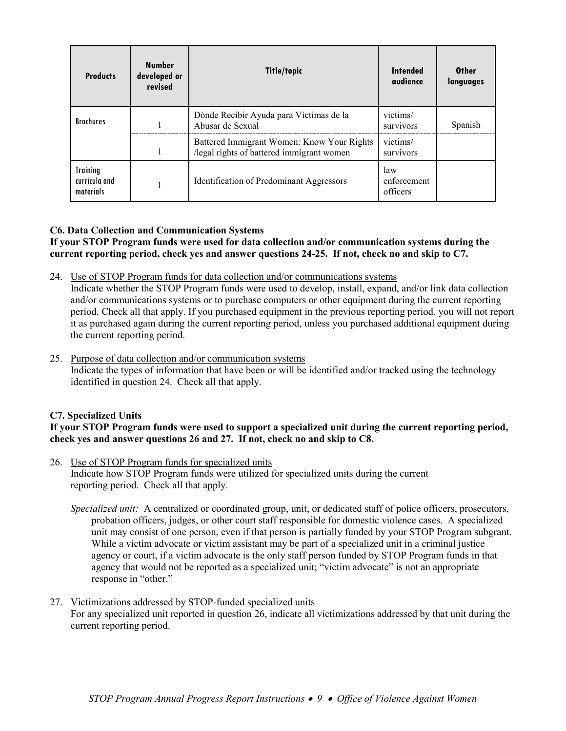| <b>Products</b>                               | <b>Number</b><br>developed or<br>revised | <b>Title/topic</b>                                                                      | <b>Intended</b><br>audience    | <b>Other</b><br>langvages |
|-----------------------------------------------|------------------------------------------|-----------------------------------------------------------------------------------------|--------------------------------|---------------------------|
| <b>Brochures</b>                              |                                          | Dónde Recibir Ayuda para Víctimas de la<br>Abusar de Sexual                             | victims/<br>survivors          | Spanish                   |
|                                               |                                          | Battered Immigrant Women: Know Your Rights<br>/legal rights of battered immigrant women | victims/<br>survivors          |                           |
| <b>Training</b><br>curricula and<br>materials |                                          | Identification of Predominant Aggressors                                                | law<br>enforcement<br>officers |                           |

# **C6. Data Collection and Communication Systems**

**If your STOP Program funds were used for data collection and/or communication systems during the current reporting period, check yes and answer questions 24-25. If not, check no and skip to C7.**

24. Use of STOP Program funds for data collection and/or communications systems

Indicate whether the STOP Program funds were used to develop, install, expand, and/or link data collection and/or communications systems or to purchase computers or other equipment during the current reporting period. Check all that apply. If you purchased equipment in the previous reporting period, you will not report it as purchased again during the current reporting period, unless you purchased additional equipment during the current reporting period.

25. Purpose of data collection and/or communication systems Indicate the types of information that have been or will be identified and/or tracked using the technology identified in question 24. Check all that apply.

# **C7. Specialized Units If your STOP Program funds were used to support a specialized unit during the current reporting period, check yes and answer questions 26 and 27. If not, check no and skip to C8.**

26. Use of STOP Program funds for specialized units Indicate how STOP Program funds were utilized for specialized units during the current reporting period. Check all that apply.

*Specialized unit:* A centralized or coordinated group, unit, or dedicated staff of police officers, prosecutors, probation officers, judges, or other court staff responsible for domestic violence cases. A specialized unit may consist of one person, even if that person is partially funded by your STOP Program subgrant. While a victim advocate or victim assistant may be part of a specialized unit in a criminal justice agency or court, if a victim advocate is the only staff person funded by STOP Program funds in that agency that would not be reported as a specialized unit; "victim advocate" is not an appropriate response in "other."

27. Victimizations addressed by STOP-funded specialized units

For any specialized unit reported in question 26, indicate all victimizations addressed by that unit during the current reporting period.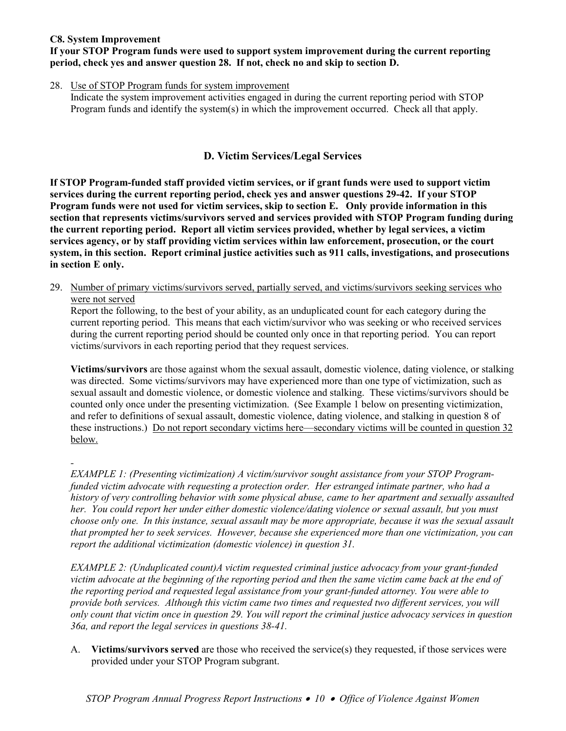### **C8. System Improvement**

## **If your STOP Program funds were used to support system improvement during the current reporting period, check yes and answer question 28. If not, check no and skip to section D.**

### 28. Use of STOP Program funds for system improvement

Indicate the system improvement activities engaged in during the current reporting period with STOP Program funds and identify the system(s) in which the improvement occurred. Check all that apply.

# **D. Victim Services/Legal Services**

**If STOP Program-funded staff provided victim services, or if grant funds were used to support victim services during the current reporting period, check yes and answer questions 29-42. If your STOP Program funds were not used for victim services, skip to section E. Only provide information in this section that represents victims/survivors served and services provided with STOP Program funding during the current reporting period. Report all victim services provided, whether by legal services, a victim services agency, or by staff providing victim services within law enforcement, prosecution, or the court system, in this section. Report criminal justice activities such as 911 calls, investigations, and prosecutions in section E only.**

29. Number of primary victims/survivors served, partially served, and victims/survivors seeking services who were not served

Report the following, to the best of your ability, as an unduplicated count for each category during the current reporting period. This means that each victim/survivor who was seeking or who received services during the current reporting period should be counted only once in that reporting period. You can report victims/survivors in each reporting period that they request services.

**Victims/survivors** are those against whom the sexual assault, domestic violence, dating violence, or stalking was directed. Some victims/survivors may have experienced more than one type of victimization, such as sexual assault and domestic violence, or domestic violence and stalking. These victims/survivors should be counted only once under the presenting victimization. (See Example 1 below on presenting victimization, and refer to definitions of sexual assault, domestic violence, dating violence, and stalking in question 8 of these instructions.) Do not report secondary victims here—secondary victims will be counted in question 32 below.

*- EXAMPLE 1: (Presenting victimization) A victim/survivor sought assistance from your STOP Programfunded victim advocate with requesting a protection order. Her estranged intimate partner, who had a history of very controlling behavior with some physical abuse, came to her apartment and sexually assaulted her. You could report her under either domestic violence/dating violence or sexual assault, but you must choose only one. In this instance, sexual assault may be more appropriate, because it was the sexual assault that prompted her to seek services. However, because she experienced more than one victimization, you can report the additional victimization (domestic violence) in question 31.*

*EXAMPLE 2: (Unduplicated count)A victim requested criminal justice advocacy from your grant-funded victim advocate at the beginning of the reporting period and then the same victim came back at the end of the reporting period and requested legal assistance from your grant-funded attorney. You were able to provide both services. Although this victim came two times and requested two different services, you will only count that victim once in question 29. You will report the criminal justice advocacy services in question 36a, and report the legal services in questions 38-41.*

A. **Victims/survivors served** are those who received the service(s) they requested, if those services were provided under your STOP Program subgrant.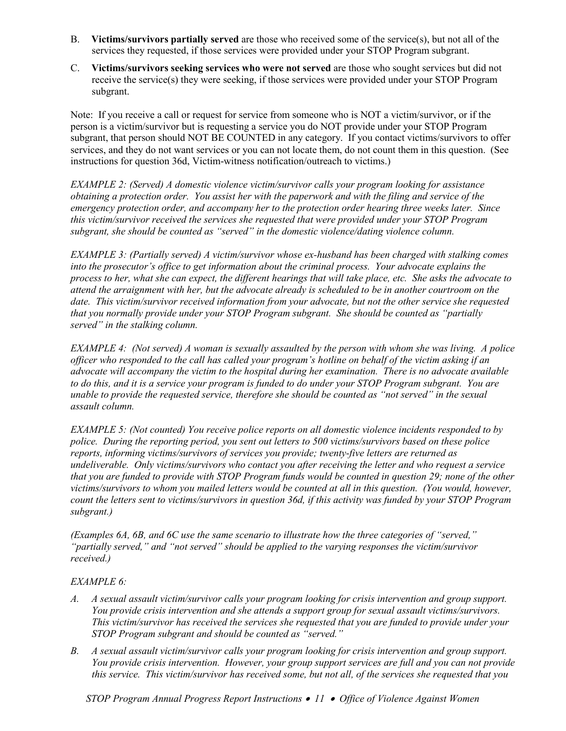- B. **Victims/survivors partially served** are those who received some of the service(s), but not all of the services they requested, if those services were provided under your STOP Program subgrant.
- C. **Victims/survivors seeking services who were not served** are those who sought services but did not receive the service(s) they were seeking, if those services were provided under your STOP Program subgrant.

Note: If you receive a call or request for service from someone who is NOT a victim/survivor, or if the person is a victim/survivor but is requesting a service you do NOT provide under your STOP Program subgrant, that person should NOT BE COUNTED in any category. If you contact victims/survivors to offer services, and they do not want services or you can not locate them, do not count them in this question. (See instructions for question 36d, Victim-witness notification/outreach to victims.)

*EXAMPLE 2: (Served) A domestic violence victim/survivor calls your program looking for assistance obtaining a protection order. You assist her with the paperwork and with the filing and service of the emergency protection order, and accompany her to the protection order hearing three weeks later. Since this victim/survivor received the services she requested that were provided under your STOP Program subgrant, she should be counted as "served" in the domestic violence/dating violence column.*

*EXAMPLE 3: (Partially served) A victim/survivor whose ex-husband has been charged with stalking comes into the prosecutor's office to get information about the criminal process. Your advocate explains the process to her, what she can expect, the different hearings that will take place, etc. She asks the advocate to attend the arraignment with her, but the advocate already is scheduled to be in another courtroom on the date. This victim/survivor received information from your advocate, but not the other service she requested that you normally provide under your STOP Program subgrant. She should be counted as "partially served" in the stalking column.*

*EXAMPLE 4: (Not served) A woman is sexually assaulted by the person with whom she was living. A police officer who responded to the call has called your program's hotline on behalf of the victim asking if an advocate will accompany the victim to the hospital during her examination. There is no advocate available to do this, and it is a service your program is funded to do under your STOP Program subgrant. You are unable to provide the requested service, therefore she should be counted as "not served" in the sexual assault column.*

*EXAMPLE 5: (Not counted) You receive police reports on all domestic violence incidents responded to by police. During the reporting period, you sent out letters to 500 victims/survivors based on these police reports, informing victims/survivors of services you provide; twenty-five letters are returned as undeliverable. Only victims/survivors who contact you after receiving the letter and who request a service that you are funded to provide with STOP Program funds would be counted in question 29; none of the other victims/survivors to whom you mailed letters would be counted at all in this question. (You would, however, count the letters sent to victims/survivors in question 36d, if this activity was funded by your STOP Program subgrant.)*

*(Examples 6A, 6B, and 6C use the same scenario to illustrate how the three categories of "served," "partially served," and "not served" should be applied to the varying responses the victim/survivor received.)* 

# *EXAMPLE 6:*

- *A. A sexual assault victim/survivor calls your program looking for crisis intervention and group support. You provide crisis intervention and she attends a support group for sexual assault victims/survivors. This victim/survivor has received the services she requested that you are funded to provide under your STOP Program subgrant and should be counted as "served."*
- *B. A sexual assault victim/survivor calls your program looking for crisis intervention and group support. You provide crisis intervention. However, your group support services are full and you can not provide this service. This victim/survivor has received some, but not all, of the services she requested that you*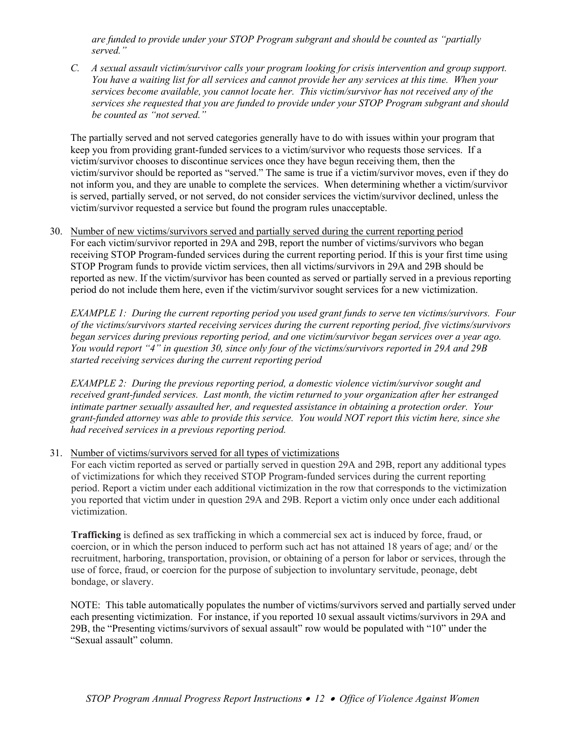*are funded to provide under your STOP Program subgrant and should be counted as "partially served."*

*C. A sexual assault victim/survivor calls your program looking for crisis intervention and group support. You have a waiting list for all services and cannot provide her any services at this time. When your services become available, you cannot locate her. This victim/survivor has not received any of the services she requested that you are funded to provide under your STOP Program subgrant and should be counted as "not served."*

The partially served and not served categories generally have to do with issues within your program that keep you from providing grant-funded services to a victim/survivor who requests those services. If a victim/survivor chooses to discontinue services once they have begun receiving them, then the victim/survivor should be reported as "served." The same is true if a victim/survivor moves, even if they do not inform you, and they are unable to complete the services. When determining whether a victim/survivor is served, partially served, or not served, do not consider services the victim/survivor declined, unless the victim/survivor requested a service but found the program rules unacceptable.

30. Number of new victims/survivors served and partially served during the current reporting period For each victim/survivor reported in 29A and 29B, report the number of victims/survivors who began receiving STOP Program-funded services during the current reporting period. If this is your first time using STOP Program funds to provide victim services, then all victims/survivors in 29A and 29B should be reported as new. If the victim/survivor has been counted as served or partially served in a previous reporting period do not include them here, even if the victim/survivor sought services for a new victimization.

*EXAMPLE 1: During the current reporting period you used grant funds to serve ten victims/survivors. Four of the victims/survivors started receiving services during the current reporting period, five victims/survivors began services during previous reporting period, and one victim/survivor began services over a year ago. You would report "4" in question 30, since only four of the victims/survivors reported in 29A and 29B started receiving services during the current reporting period*

*EXAMPLE 2: During the previous reporting period, a domestic violence victim/survivor sought and received grant-funded services. Last month, the victim returned to your organization after her estranged intimate partner sexually assaulted her, and requested assistance in obtaining a protection order. Your grant-funded attorney was able to provide this service. You would NOT report this victim here, since she had received services in a previous reporting period.*

### 31. Number of victims/survivors served for all types of victimizations

For each victim reported as served or partially served in question 29A and 29B, report any additional types of victimizations for which they received STOP Program-funded services during the current reporting period. Report a victim under each additional victimization in the row that corresponds to the victimization you reported that victim under in question 29A and 29B. Report a victim only once under each additional victimization.

**Trafficking** is defined as sex trafficking in which a commercial sex act is induced by force, fraud, or coercion, or in which the person induced to perform such act has not attained 18 years of age; and/ or the recruitment, harboring, transportation, provision, or obtaining of a person for labor or services, through the use of force, fraud, or coercion for the purpose of subjection to involuntary servitude, peonage, debt bondage, or slavery.

NOTE: This table automatically populates the number of victims/survivors served and partially served under each presenting victimization. For instance, if you reported 10 sexual assault victims/survivors in 29A and 29B, the "Presenting victims/survivors of sexual assault" row would be populated with "10" under the "Sexual assault" column.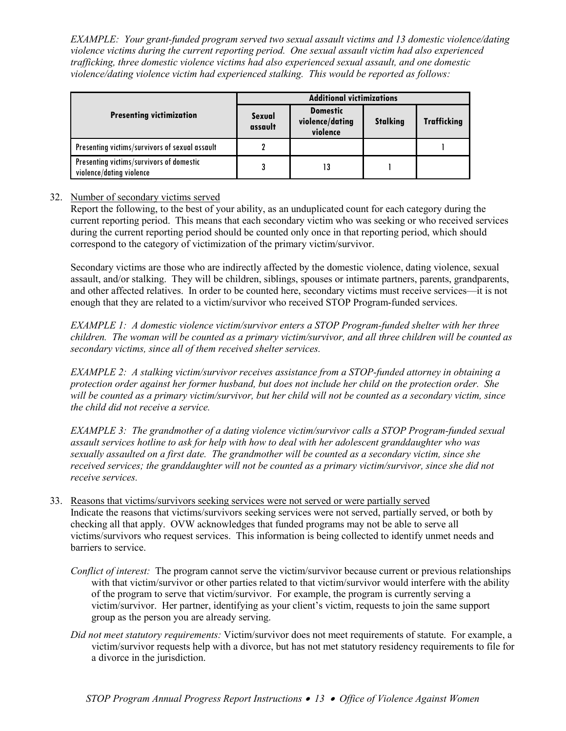*EXAMPLE: Your grant-funded program served two sexual assault victims and 13 domestic violence/dating violence victims during the current reporting period. One sexual assault victim had also experienced trafficking, three domestic violence victims had also experienced sexual assault, and one domestic violence/dating violence victim had experienced stalking. This would be reported as follows:*

|                                                                      | <b>Additional victimizations</b> |                                                |                 |                    |  |
|----------------------------------------------------------------------|----------------------------------|------------------------------------------------|-----------------|--------------------|--|
| <b>Presenting victimization</b>                                      | <b>Sexual</b><br>assault         | <b>Domestic</b><br>violence/dating<br>violence | <b>Stalking</b> | <b>Trafficking</b> |  |
| Presenting victims/survivors of sexual assault                       | 7                                |                                                |                 |                    |  |
| Presenting victims/survivors of domestic<br>violence/dating violence | 3                                | 13                                             |                 |                    |  |

# 32. Number of secondary victims served

Report the following, to the best of your ability, as an unduplicated count for each category during the current reporting period. This means that each secondary victim who was seeking or who received services during the current reporting period should be counted only once in that reporting period, which should correspond to the category of victimization of the primary victim/survivor.

Secondary victims are those who are indirectly affected by the domestic violence, dating violence, sexual assault, and/or stalking. They will be children, siblings, spouses or intimate partners, parents, grandparents, and other affected relatives. In order to be counted here, secondary victims must receive services—it is not enough that they are related to a victim/survivor who received STOP Program-funded services.

*EXAMPLE 1: A domestic violence victim/survivor enters a STOP Program-funded shelter with her three children. The woman will be counted as a primary victim/survivor, and all three children will be counted as secondary victims, since all of them received shelter services.*

*EXAMPLE 2: A stalking victim/survivor receives assistance from a STOP-funded attorney in obtaining a protection order against her former husband, but does not include her child on the protection order. She will be counted as a primary victim/survivor, but her child will not be counted as a secondary victim, since the child did not receive a service.*

*EXAMPLE 3: The grandmother of a dating violence victim/survivor calls a STOP Program-funded sexual assault services hotline to ask for help with how to deal with her adolescent granddaughter who was sexually assaulted on a first date. The grandmother will be counted as a secondary victim, since she received services; the granddaughter will not be counted as a primary victim/survivor, since she did not receive services.*

- 33. Reasons that victims/survivors seeking services were not served or were partially served Indicate the reasons that victims/survivors seeking services were not served, partially served, or both by checking all that apply. OVW acknowledges that funded programs may not be able to serve all victims/survivors who request services. This information is being collected to identify unmet needs and barriers to service.
	- *Conflict of interest:* The program cannot serve the victim/survivor because current or previous relationships with that victim/survivor or other parties related to that victim/survivor would interfere with the ability of the program to serve that victim/survivor. For example, the program is currently serving a victim/survivor. Her partner, identifying as your client's victim, requests to join the same support group as the person you are already serving.
	- *Did not meet statutory requirements:* Victim/survivor does not meet requirements of statute. For example, a victim/survivor requests help with a divorce, but has not met statutory residency requirements to file for a divorce in the jurisdiction.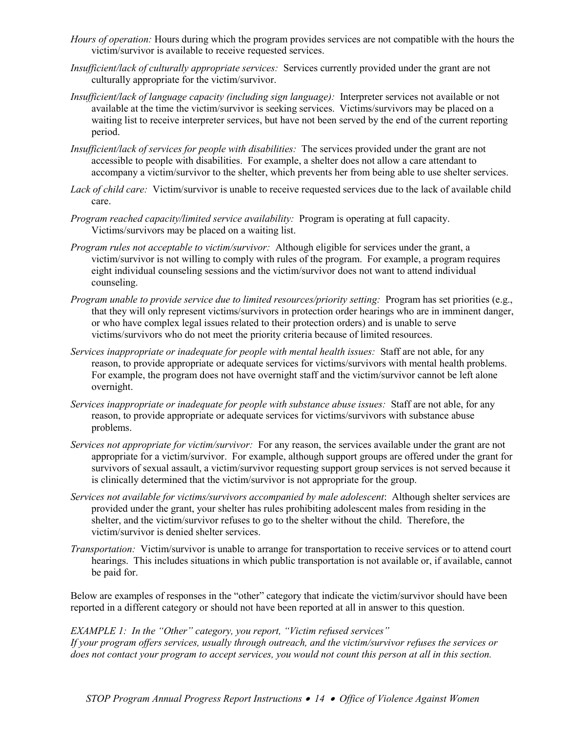- *Hours of operation:* Hours during which the program provides services are not compatible with the hours the victim/survivor is available to receive requested services.
- *Insufficient/lack of culturally appropriate services:* Services currently provided under the grant are not culturally appropriate for the victim/survivor.
- *Insufficient/lack of language capacity (including sign language):* Interpreter services not available or not available at the time the victim/survivor is seeking services. Victims/survivors may be placed on a waiting list to receive interpreter services, but have not been served by the end of the current reporting period.
- *Insufficient/lack of services for people with disabilities:* The services provided under the grant are not accessible to people with disabilities. For example, a shelter does not allow a care attendant to accompany a victim/survivor to the shelter, which prevents her from being able to use shelter services.
- *Lack of child care:* Victim/survivor is unable to receive requested services due to the lack of available child care.
- *Program reached capacity/limited service availability:* Program is operating at full capacity. Victims/survivors may be placed on a waiting list.
- *Program rules not acceptable to victim/survivor:* Although eligible for services under the grant, a victim/survivor is not willing to comply with rules of the program. For example, a program requires eight individual counseling sessions and the victim/survivor does not want to attend individual counseling.
- *Program unable to provide service due to limited resources/priority setting:* Program has set priorities (e.g., that they will only represent victims/survivors in protection order hearings who are in imminent danger, or who have complex legal issues related to their protection orders) and is unable to serve victims/survivors who do not meet the priority criteria because of limited resources.
- *Services inappropriate or inadequate for people with mental health issues:* Staff are not able, for any reason, to provide appropriate or adequate services for victims/survivors with mental health problems. For example, the program does not have overnight staff and the victim/survivor cannot be left alone overnight.
- *Services inappropriate or inadequate for people with substance abuse issues:* Staff are not able, for any reason, to provide appropriate or adequate services for victims/survivors with substance abuse problems.
- *Services not appropriate for victim/survivor:* For any reason, the services available under the grant are not appropriate for a victim/survivor. For example, although support groups are offered under the grant for survivors of sexual assault, a victim/survivor requesting support group services is not served because it is clinically determined that the victim/survivor is not appropriate for the group.
- *Services not available for victims/survivors accompanied by male adolescent*: Although shelter services are provided under the grant, your shelter has rules prohibiting adolescent males from residing in the shelter, and the victim/survivor refuses to go to the shelter without the child. Therefore, the victim/survivor is denied shelter services.
- *Transportation:* Victim/survivor is unable to arrange for transportation to receive services or to attend court hearings. This includes situations in which public transportation is not available or, if available, cannot be paid for.

Below are examples of responses in the "other" category that indicate the victim/survivor should have been reported in a different category or should not have been reported at all in answer to this question.

### *EXAMPLE 1: In the "Other" category, you report, "Victim refused services"*

*If your program offers services, usually through outreach, and the victim/survivor refuses the services or does not contact your program to accept services, you would not count this person at all in this section.*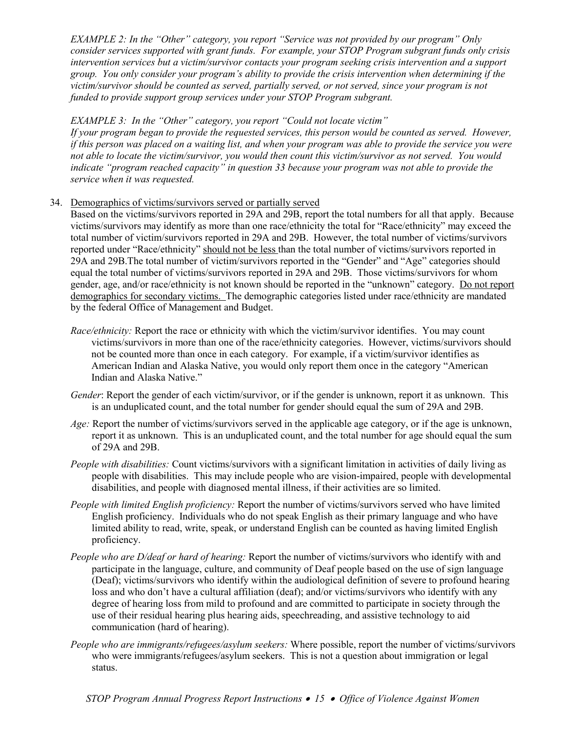*EXAMPLE 2: In the "Other" category, you report "Service was not provided by our program" Only consider services supported with grant funds. For example, your STOP Program subgrant funds only crisis intervention services but a victim/survivor contacts your program seeking crisis intervention and a support group. You only consider your program's ability to provide the crisis intervention when determining if the victim/survivor should be counted as served, partially served, or not served, since your program is not funded to provide support group services under your STOP Program subgrant.*

### *EXAMPLE 3: In the "Other" category, you report "Could not locate victim"*

*If your program began to provide the requested services, this person would be counted as served. However, if this person was placed on a waiting list, and when your program was able to provide the service you were not able to locate the victim/survivor, you would then count this victim/survivor as not served. You would indicate "program reached capacity" in question 33 because your program was not able to provide the service when it was requested.*

### 34. Demographics of victims/survivors served or partially served

Based on the victims/survivors reported in 29A and 29B, report the total numbers for all that apply. Because victims/survivors may identify as more than one race/ethnicity the total for "Race/ethnicity" may exceed the total number of victim/survivors reported in 29A and 29B. However, the total number of victims/survivors reported under "Race/ethnicity" should not be less than the total number of victims/survivors reported in 29A and 29B.The total number of victim/survivors reported in the "Gender" and "Age" categories should equal the total number of victims/survivors reported in 29A and 29B. Those victims/survivors for whom gender, age, and/or race/ethnicity is not known should be reported in the "unknown" category. Do not report demographics for secondary victims. The demographic categories listed under race/ethnicity are mandated by the federal Office of Management and Budget.

- *Race/ethnicity:* Report the race or ethnicity with which the victim/survivor identifies. You may count victims/survivors in more than one of the race/ethnicity categories. However, victims/survivors should not be counted more than once in each category. For example, if a victim/survivor identifies as American Indian and Alaska Native, you would only report them once in the category "American Indian and Alaska Native."
- *Gender*: Report the gender of each victim/survivor, or if the gender is unknown, report it as unknown. This is an unduplicated count, and the total number for gender should equal the sum of 29A and 29B.
- *Age:* Report the number of victims/survivors served in the applicable age category, or if the age is unknown, report it as unknown. This is an unduplicated count, and the total number for age should equal the sum of 29A and 29B.
- *People with disabilities:* Count victims/survivors with a significant limitation in activities of daily living as people with disabilities. This may include people who are vision-impaired, people with developmental disabilities, and people with diagnosed mental illness, if their activities are so limited.
- *People with limited English proficiency:* Report the number of victims/survivors served who have limited English proficiency. Individuals who do not speak English as their primary language and who have limited ability to read, write, speak, or understand English can be counted as having limited English proficiency.
- *People who are D/deaf or hard of hearing:* Report the number of victims/survivors who identify with and participate in the language, culture, and community of Deaf people based on the use of sign language (Deaf); victims/survivors who identify within the audiological definition of severe to profound hearing loss and who don't have a cultural affiliation (deaf); and/or victims/survivors who identify with any degree of hearing loss from mild to profound and are committed to participate in society through the use of their residual hearing plus hearing aids, speechreading, and assistive technology to aid communication (hard of hearing).
- *People who are immigrants/refugees/asylum seekers:* Where possible, report the number of victims/survivors who were immigrants/refugees/asylum seekers. This is not a question about immigration or legal status.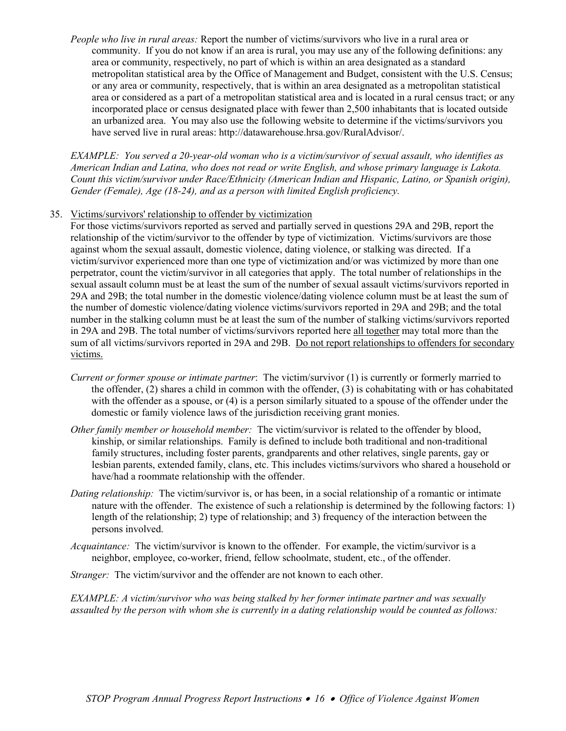*People who live in rural areas:* Report the number of victims/survivors who live in a rural area or community. If you do not know if an area is rural, you may use any of the following definitions: any area or community, respectively, no part of which is within an area designated as a standard metropolitan statistical area by the Office of Management and Budget, consistent with the U.S. Census; or any area or community, respectively, that is within an area designated as a metropolitan statistical area or considered as a part of a metropolitan statistical area and is located in a rural census tract; or any incorporated place or census designated place with fewer than 2,500 inhabitants that is located outside an urbanized area. You may also use the following website to determine if the victims/survivors you have served live in rural areas: [http://datawarehouse.hrsa.gov/RuralAdvisor/.](http://datawarehouse.hrsa.gov/RuralAdvisor/)

*EXAMPLE: You served a 20-year-old woman who is a victim/survivor of sexual assault, who identifies as American Indian and Latina, who does not read or write English, and whose primary language is Lakota. Count this victim/survivor under Race/Ethnicity (American Indian and Hispanic, Latino, or Spanish origin), Gender (Female), Age (18-24), and as a person with limited English proficiency.*

### 35. Victims/survivors' relationship to offender by victimization

For those victims/survivors reported as served and partially served in questions 29A and 29B, report the relationship of the victim/survivor to the offender by type of victimization. Victims/survivors are those against whom the sexual assault, domestic violence, dating violence, or stalking was directed. If a victim/survivor experienced more than one type of victimization and/or was victimized by more than one perpetrator, count the victim/survivor in all categories that apply. The total number of relationships in the sexual assault column must be at least the sum of the number of sexual assault victims/survivors reported in 29A and 29B; the total number in the domestic violence/dating violence column must be at least the sum of the number of domestic violence/dating violence victims/survivors reported in 29A and 29B; and the total number in the stalking column must be at least the sum of the number of stalking victims/survivors reported in 29A and 29B. The total number of victims/survivors reported here all together may total more than the sum of all victims/survivors reported in 29A and 29B. Do not report relationships to offenders for secondary victims.

- *Current or former spouse or intimate partner*: The victim/survivor (1) is currently or formerly married to the offender, (2) shares a child in common with the offender, (3) is cohabitating with or has cohabitated with the offender as a spouse, or (4) is a person similarly situated to a spouse of the offender under the domestic or family violence laws of the jurisdiction receiving grant monies.
- *Other family member or household member:* The victim/survivor is related to the offender by blood, kinship, or similar relationships. Family is defined to include both traditional and non-traditional family structures, including foster parents, grandparents and other relatives, single parents, gay or lesbian parents, extended family, clans, etc. This includes victims/survivors who shared a household or have/had a roommate relationship with the offender.
- *Dating relationship:* The victim/survivor is, or has been, in a social relationship of a romantic or intimate nature with the offender. The existence of such a relationship is determined by the following factors: 1) length of the relationship; 2) type of relationship; and 3) frequency of the interaction between the persons involved.
- *Acquaintance:* The victim/survivor is known to the offender. For example, the victim/survivor is a neighbor, employee, co-worker, friend, fellow schoolmate, student, etc., of the offender.
- *Stranger:* The victim/survivor and the offender are not known to each other.

*EXAMPLE: A victim/survivor who was being stalked by her former intimate partner and was sexually assaulted by the person with whom she is currently in a dating relationship would be counted as follows:*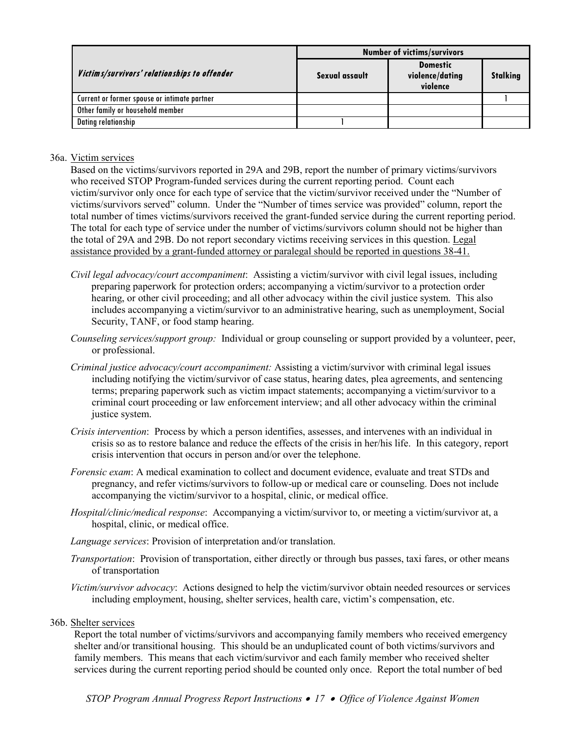|                                              | <b>Number of victims/survivors</b> |                                                |                 |  |
|----------------------------------------------|------------------------------------|------------------------------------------------|-----------------|--|
| Victims/survivors' relationships to offender | Sexual assault                     | <b>Domestic</b><br>violence/dating<br>violence | <b>Stalking</b> |  |
| Current or former spouse or intimate partner |                                    |                                                |                 |  |
| Other family or household member             |                                    |                                                |                 |  |
| Dating relationship                          |                                    |                                                |                 |  |

#### 36a. Victim services

Based on the victims/survivors reported in 29A and 29B, report the number of primary victims/survivors who received STOP Program-funded services during the current reporting period. Count each victim/survivor only once for each type of service that the victim/survivor received under the "Number of victims/survivors served" column. Under the "Number of times service was provided" column, report the total number of times victims/survivors received the grant-funded service during the current reporting period. The total for each type of service under the number of victims/survivors column should not be higher than the total of 29A and 29B. Do not report secondary victims receiving services in this question. Legal assistance provided by a grant-funded attorney or paralegal should be reported in questions 38-41.

- *Civil legal advocacy/court accompaniment*: Assisting a victim/survivor with civil legal issues, including preparing paperwork for protection orders; accompanying a victim/survivor to a protection order hearing, or other civil proceeding; and all other advocacy within the civil justice system. This also includes accompanying a victim/survivor to an administrative hearing, such as unemployment, Social Security, TANF, or food stamp hearing.
- *Counseling services/support group:* Individual or group counseling or support provided by a volunteer, peer, or professional.
- *Criminal justice advocacy/court accompaniment:* Assisting a victim/survivor with criminal legal issues including notifying the victim/survivor of case status, hearing dates, plea agreements, and sentencing terms; preparing paperwork such as victim impact statements; accompanying a victim/survivor to a criminal court proceeding or law enforcement interview; and all other advocacy within the criminal justice system.
- *Crisis intervention*: Process by which a person identifies, assesses, and intervenes with an individual in crisis so as to restore balance and reduce the effects of the crisis in her/his life. In this category, report crisis intervention that occurs in person and/or over the telephone.
- *Forensic exam*: A medical examination to collect and document evidence, evaluate and treat STDs and pregnancy, and refer victims/survivors to follow-up or medical care or counseling. Does not include accompanying the victim/survivor to a hospital, clinic, or medical office.
- *Hospital/clinic/medical response*: Accompanying a victim/survivor to, or meeting a victim/survivor at, a hospital, clinic, or medical office.
- *Language services*: Provision of interpretation and/or translation.
- *Transportation*: Provision of transportation, either directly or through bus passes, taxi fares, or other means of transportation
- *Victim/survivor advocacy*: Actions designed to help the victim/survivor obtain needed resources or services including employment, housing, shelter services, health care, victim's compensation, etc.

#### 36b. Shelter services

Report the total number of victims/survivors and accompanying family members who received emergency shelter and/or transitional housing. This should be an unduplicated count of both victims/survivors and family members. This means that each victim/survivor and each family member who received shelter services during the current reporting period should be counted only once. Report the total number of bed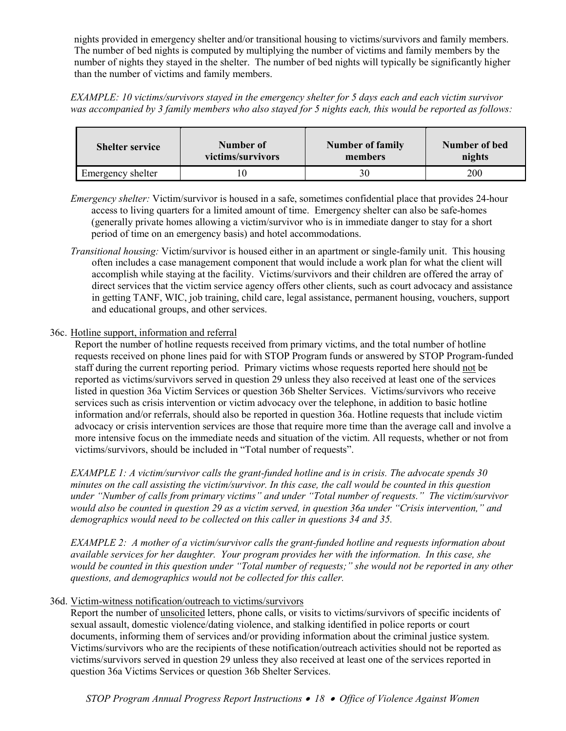nights provided in emergency shelter and/or transitional housing to victims/survivors and family members. The number of bed nights is computed by multiplying the number of victims and family members by the number of nights they stayed in the shelter. The number of bed nights will typically be significantly higher than the number of victims and family members.

*EXAMPLE: 10 victims/survivors stayed in the emergency shelter for 5 days each and each victim survivor was accompanied by 3 family members who also stayed for 5 nights each, this would be reported as follows:*

| <b>Shelter service</b> | Number of         | <b>Number of family</b> | Number of bed |
|------------------------|-------------------|-------------------------|---------------|
|                        | victims/survivors | members                 | nights        |
| Emergency shelter      |                   | 30                      | 200           |

*Emergency shelter:* Victim/survivor is housed in a safe, sometimes confidential place that provides 24-hour access to living quarters for a limited amount of time. Emergency shelter can also be safe-homes (generally private homes allowing a victim/survivor who is in immediate danger to stay for a short period of time on an emergency basis) and hotel accommodations.

*Transitional housing:* Victim/survivor is housed either in an apartment or single-family unit. This housing often includes a case management component that would include a work plan for what the client will accomplish while staying at the facility. Victims/survivors and their children are offered the array of direct services that the victim service agency offers other clients, such as court advocacy and assistance in getting TANF, WIC, job training, child care, legal assistance, permanent housing, vouchers, support and educational groups, and other services.

# 36c. Hotline support, information and referral

Report the number of hotline requests received from primary victims, and the total number of hotline requests received on phone lines paid for with STOP Program funds or answered by STOP Program-funded staff during the current reporting period. Primary victims whose requests reported here should not be reported as victims/survivors served in question 29 unless they also received at least one of the services listed in question 36a Victim Services or question 36b Shelter Services. Victims/survivors who receive services such as crisis intervention or victim advocacy over the telephone, in addition to basic hotline information and/or referrals, should also be reported in question 36a. Hotline requests that include victim advocacy or crisis intervention services are those that require more time than the average call and involve a more intensive focus on the immediate needs and situation of the victim. All requests, whether or not from victims/survivors, should be included in "Total number of requests".

*EXAMPLE 1: A victim/survivor calls the grant-funded hotline and is in crisis. The advocate spends 30 minutes on the call assisting the victim/survivor. In this case, the call would be counted in this question under "Number of calls from primary victims" and under "Total number of requests." The victim/survivor would also be counted in question 29 as a victim served, in question 36a under "Crisis intervention," and demographics would need to be collected on this caller in questions 34 and 35.*

*EXAMPLE 2: A mother of a victim/survivor calls the grant-funded hotline and requests information about available services for her daughter. Your program provides her with the information. In this case, she would be counted in this question under "Total number of requests;" she would not be reported in any other questions, and demographics would not be collected for this caller.* 

# 36d. Victim-witness notification/outreach to victims/survivors

Report the number of unsolicited letters, phone calls, or visits to victims/survivors of specific incidents of sexual assault, domestic violence/dating violence, and stalking identified in police reports or court documents, informing them of services and/or providing information about the criminal justice system. Victims/survivors who are the recipients of these notification/outreach activities should not be reported as victims/survivors served in question 29 unless they also received at least one of the services reported in question 36a Victims Services or question 36b Shelter Services.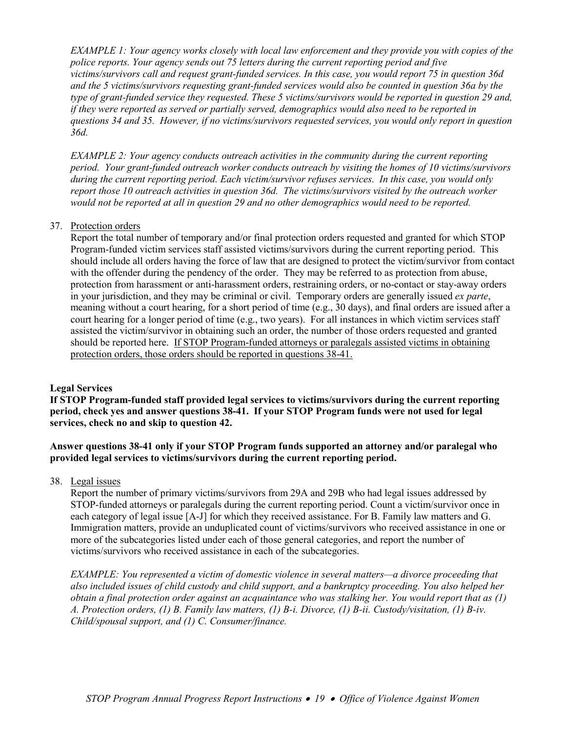*EXAMPLE 1: Your agency works closely with local law enforcement and they provide you with copies of the police reports. Your agency sends out 75 letters during the current reporting period and five victims/survivors call and request grant-funded services. In this case, you would report 75 in question 36d and the 5 victims/survivors requesting grant-funded services would also be counted in question 36a by the type of grant-funded service they requested. These 5 victims/survivors would be reported in question 29 and, if they were reported as served or partially served, demographics would also need to be reported in questions 34 and 35. However, if no victims/survivors requested services, you would only report in question 36d.*

*EXAMPLE 2: Your agency conducts outreach activities in the community during the current reporting period. Your grant-funded outreach worker conducts outreach by visiting the homes of 10 victims/survivors during the current reporting period. Each victim/survivor refuses services. In this case, you would only report those 10 outreach activities in question 36d. The victims/survivors visited by the outreach worker would not be reported at all in question 29 and no other demographics would need to be reported.*

### 37. Protection orders

Report the total number of temporary and/or final protection orders requested and granted for which STOP Program-funded victim services staff assisted victims/survivors during the current reporting period. This should include all orders having the force of law that are designed to protect the victim/survivor from contact with the offender during the pendency of the order. They may be referred to as protection from abuse, protection from harassment or anti-harassment orders, restraining orders, or no-contact or stay-away orders in your jurisdiction, and they may be criminal or civil. Temporary orders are generally issued *ex parte*, meaning without a court hearing, for a short period of time (e.g., 30 days), and final orders are issued after a court hearing for a longer period of time (e.g., two years). For all instances in which victim services staff assisted the victim/survivor in obtaining such an order, the number of those orders requested and granted should be reported here. If STOP Program-funded attorneys or paralegals assisted victims in obtaining protection orders, those orders should be reported in questions 38-41.

### **Legal Services**

**If STOP Program-funded staff provided legal services to victims/survivors during the current reporting period, check yes and answer questions 38-41. If your STOP Program funds were not used for legal services, check no and skip to question 42.** 

### **Answer questions 38-41 only if your STOP Program funds supported an attorney and/or paralegal who provided legal services to victims/survivors during the current reporting period.**

### 38. Legal issues

Report the number of primary victims/survivors from 29A and 29B who had legal issues addressed by STOP-funded attorneys or paralegals during the current reporting period. Count a victim/survivor once in each category of legal issue [A-J] for which they received assistance. For B. Family law matters and G. Immigration matters, provide an unduplicated count of victims/survivors who received assistance in one or more of the subcategories listed under each of those general categories, and report the number of victims/survivors who received assistance in each of the subcategories.

*EXAMPLE: You represented a victim of domestic violence in several matters—a divorce proceeding that also included issues of child custody and child support, and a bankruptcy proceeding. You also helped her obtain a final protection order against an acquaintance who was stalking her. You would report that as (1) A. Protection orders, (1) B. Family law matters, (1) B-i. Divorce, (1) B-ii. Custody/visitation, (1) B-iv. Child/spousal support, and (1) C. Consumer/finance.*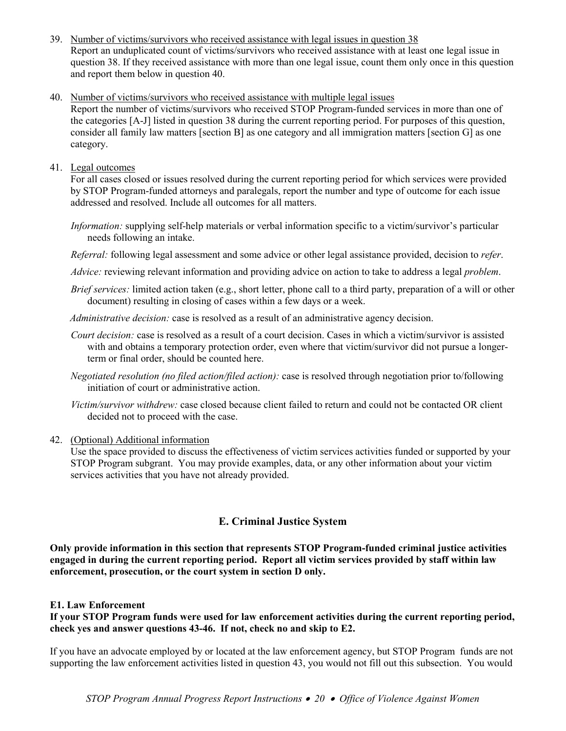- 39. Number of victims/survivors who received assistance with legal issues in question 38 Report an unduplicated count of victims/survivors who received assistance with at least one legal issue in question 38. If they received assistance with more than one legal issue, count them only once in this question and report them below in question 40.
- 40. Number of victims/survivors who received assistance with multiple legal issues Report the number of victims/survivors who received STOP Program-funded services in more than one of the categories [A-J] listed in question 38 during the current reporting period. For purposes of this question, consider all family law matters [section B] as one category and all immigration matters [section G] as one category.
- 41. Legal outcomes

For all cases closed or issues resolved during the current reporting period for which services were provided by STOP Program-funded attorneys and paralegals, report the number and type of outcome for each issue addressed and resolved. Include all outcomes for all matters.

*Information:* supplying self-help materials or verbal information specific to a victim/survivor's particular needs following an intake.

*Referral:* following legal assessment and some advice or other legal assistance provided, decision to *refer*.

*Advice:* reviewing relevant information and providing advice on action to take to address a legal *problem*.

*Brief services:* limited action taken (e.g., short letter, phone call to a third party, preparation of a will or other document) resulting in closing of cases within a few days or a week.

*Administrative decision:* case is resolved as a result of an administrative agency decision.

- *Court decision:* case is resolved as a result of a court decision. Cases in which a victim/survivor is assisted with and obtains a temporary protection order, even where that victim/survivor did not pursue a longerterm or final order, should be counted here.
- *Negotiated resolution (no filed action/filed action):* case is resolved through negotiation prior to/following initiation of court or administrative action.
- *Victim/survivor withdrew:* case closed because client failed to return and could not be contacted OR client decided not to proceed with the case.

### 42. (Optional) Additional information

Use the space provided to discuss the effectiveness of victim services activities funded or supported by your STOP Program subgrant. You may provide examples, data, or any other information about your victim services activities that you have not already provided.

# **E. Criminal Justice System**

**Only provide information in this section that represents STOP Program-funded criminal justice activities engaged in during the current reporting period. Report all victim services provided by staff within law enforcement, prosecution, or the court system in section D only.** 

### **E1. Law Enforcement**

**If your STOP Program funds were used for law enforcement activities during the current reporting period, check yes and answer questions 43-46. If not, check no and skip to E2.** 

If you have an advocate employed by or located at the law enforcement agency, but STOP Program funds are not supporting the law enforcement activities listed in question 43, you would not fill out this subsection. You would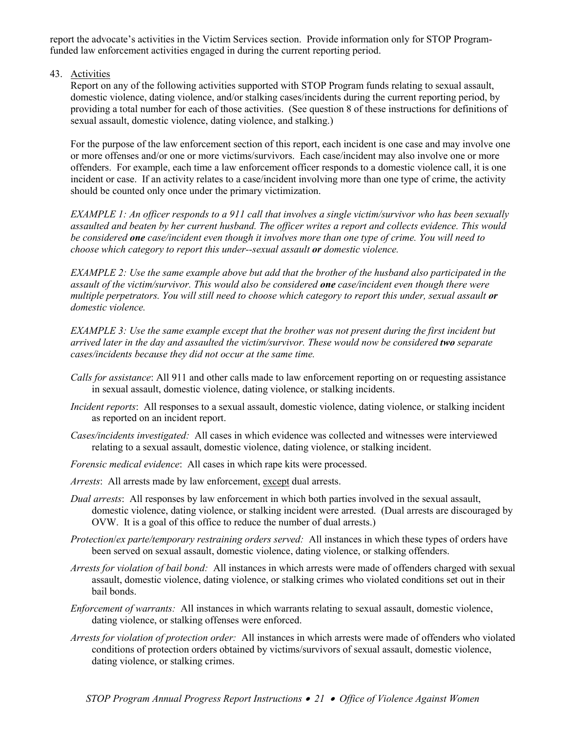report the advocate's activities in the Victim Services section. Provide information only for STOP Programfunded law enforcement activities engaged in during the current reporting period.

### 43. Activities

Report on any of the following activities supported with STOP Program funds relating to sexual assault, domestic violence, dating violence, and/or stalking cases/incidents during the current reporting period, by providing a total number for each of those activities. (See question 8 of these instructions for definitions of sexual assault, domestic violence, dating violence, and stalking.)

For the purpose of the law enforcement section of this report, each incident is one case and may involve one or more offenses and/or one or more victims/survivors. Each case/incident may also involve one or more offenders. For example, each time a law enforcement officer responds to a domestic violence call, it is one incident or case. If an activity relates to a case/incident involving more than one type of crime, the activity should be counted only once under the primary victimization.

*EXAMPLE 1: An officer responds to a 911 call that involves a single victim/survivor who has been sexually assaulted and beaten by her current husband. The officer writes a report and collects evidence. This would be considered one case/incident even though it involves more than one type of crime. You will need to choose which category to report this under--sexual assault or domestic violence.* 

*EXAMPLE 2: Use the same example above but add that the brother of the husband also participated in the assault of the victim/survivor. This would also be considered one case/incident even though there were multiple perpetrators. You will still need to choose which category to report this under, sexual assault or domestic violence.*

*EXAMPLE 3: Use the same example except that the brother was not present during the first incident but arrived later in the day and assaulted the victim/survivor. These would now be considered two separate cases/incidents because they did not occur at the same time.*

- *Calls for assistance*: All 911 and other calls made to law enforcement reporting on or requesting assistance in sexual assault, domestic violence, dating violence, or stalking incidents.
- *Incident reports*: All responses to a sexual assault, domestic violence, dating violence, or stalking incident as reported on an incident report.
- *Cases/incidents investigated:* All cases in which evidence was collected and witnesses were interviewed relating to a sexual assault, domestic violence, dating violence, or stalking incident.
- *Forensic medical evidence*: All cases in which rape kits were processed.
- *Arrests*: All arrests made by law enforcement, except dual arrests.
- *Dual arrests*: All responses by law enforcement in which both parties involved in the sexual assault, domestic violence, dating violence, or stalking incident were arrested. (Dual arrests are discouraged by OVW. It is a goal of this office to reduce the number of dual arrests.)
- *Protection*/*ex parte/temporary restraining orders served:* All instances in which these types of orders have been served on sexual assault, domestic violence, dating violence, or stalking offenders.
- *Arrests for violation of bail bond:* All instances in which arrests were made of offenders charged with sexual assault, domestic violence, dating violence, or stalking crimes who violated conditions set out in their bail bonds.
- *Enforcement of warrants:* All instances in which warrants relating to sexual assault, domestic violence, dating violence, or stalking offenses were enforced.
- *Arrests for violation of protection order:* All instances in which arrests were made of offenders who violated conditions of protection orders obtained by victims/survivors of sexual assault, domestic violence, dating violence, or stalking crimes.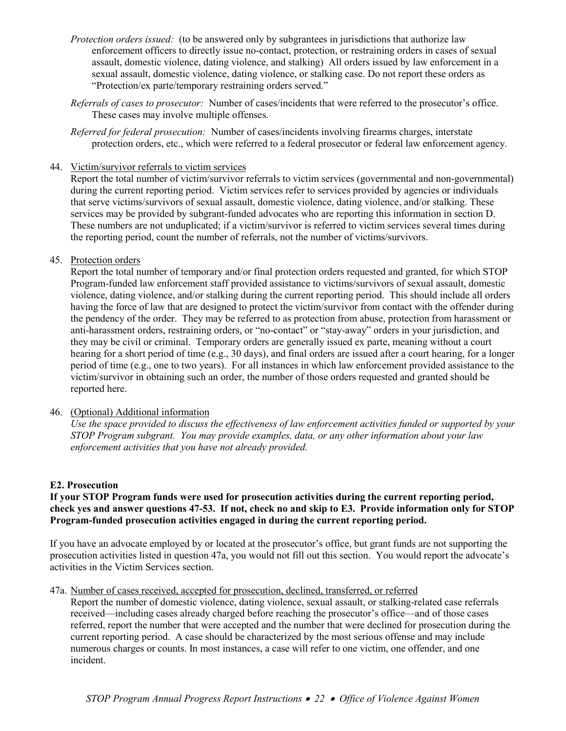- *Protection orders issued:* (to be answered only by subgrantees in jurisdictions that authorize law enforcement officers to directly issue no-contact, protection, or restraining orders in cases of sexual assault, domestic violence, dating violence, and stalking) All orders issued by law enforcement in a sexual assault, domestic violence, dating violence, or stalking case. Do not report these orders as "Protection/ex parte/temporary restraining orders served."
- *Referrals of cases to prosecutor:* Number of cases/incidents that were referred to the prosecutor's office. These cases may involve multiple offenses.
- *Referred for federal prosecution:* Number of cases/incidents involving firearms charges, interstate protection orders, etc., which were referred to a federal prosecutor or federal law enforcement agency.

### 44. Victim/survivor referrals to victim services

Report the total number of victim/survivor referrals to victim services (governmental and non-governmental) during the current reporting period. Victim services refer to services provided by agencies or individuals that serve victims/survivors of sexual assault, domestic violence, dating violence, and/or stalking. These services may be provided by subgrant-funded advocates who are reporting this information in section D. These numbers are not unduplicated; if a victim/survivor is referred to victim services several times during the reporting period, count the number of referrals, not the number of victims/survivors.

### 45. Protection orders

Report the total number of temporary and/or final protection orders requested and granted, for which STOP Program-funded law enforcement staff provided assistance to victims/survivors of sexual assault, domestic violence, dating violence, and/or stalking during the current reporting period. This should include all orders having the force of law that are designed to protect the victim/survivor from contact with the offender during the pendency of the order. They may be referred to as protection from abuse, protection from harassment or anti-harassment orders, restraining orders, or "no-contact" or "stay-away" orders in your jurisdiction, and they may be civil or criminal. Temporary orders are generally issued ex parte, meaning without a court hearing for a short period of time (e.g., 30 days), and final orders are issued after a court hearing, for a longer period of time (e.g., one to two years). For all instances in which law enforcement provided assistance to the victim/survivor in obtaining such an order, the number of those orders requested and granted should be reported here.

### 46. (Optional) Additional information

*Use the space provided to discuss the effectiveness of law enforcement activities funded or supported by your STOP Program subgrant. You may provide examples, data, or any other information about your law enforcement activities that you have not already provided.*

### **E2. Prosecution**

### **If your STOP Program funds were used for prosecution activities during the current reporting period, check yes and answer questions 47-53. If not, check no and skip to E3. Provide information only for STOP Program-funded prosecution activities engaged in during the current reporting period.**

If you have an advocate employed by or located at the prosecutor's office, but grant funds are not supporting the prosecution activities listed in question 47a, you would not fill out this section. You would report the advocate's activities in the Victim Services section.

### 47a. Number of cases received, accepted for prosecution, declined, transferred, or referred

Report the number of domestic violence, dating violence, sexual assault, or stalking-related case referrals received—including cases already charged before reaching the prosecutor's office—and of those cases referred, report the number that were accepted and the number that were declined for prosecution during the current reporting period. A case should be characterized by the most serious offense and may include numerous charges or counts. In most instances, a case will refer to one victim, one offender, and one incident.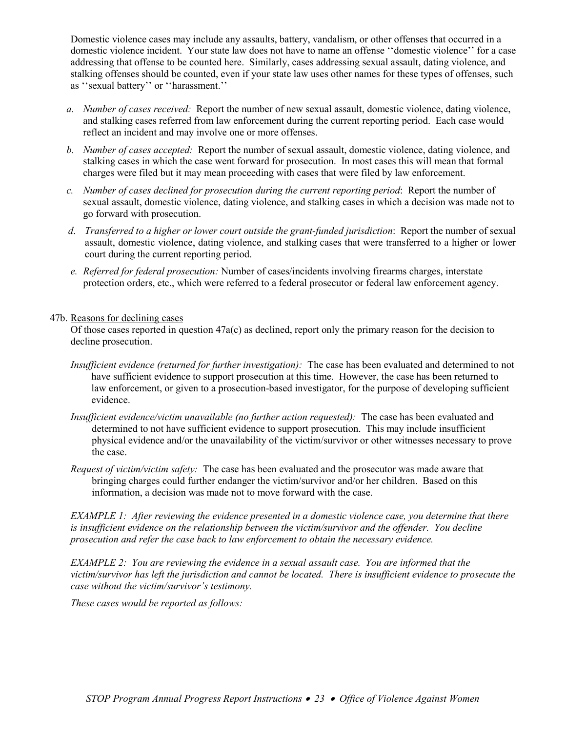Domestic violence cases may include any assaults, battery, vandalism, or other offenses that occurred in a domestic violence incident. Your state law does not have to name an offense ''domestic violence'' for a case addressing that offense to be counted here. Similarly, cases addressing sexual assault, dating violence, and stalking offenses should be counted, even if your state law uses other names for these types of offenses, such as ''sexual battery'' or ''harassment.''

- *a. Number of cases received:* Report the number of new sexual assault, domestic violence, dating violence, and stalking cases referred from law enforcement during the current reporting period. Each case would reflect an incident and may involve one or more offenses.
- *b. Number of cases accepted:* Report the number of sexual assault, domestic violence, dating violence, and stalking cases in which the case went forward for prosecution. In most cases this will mean that formal charges were filed but it may mean proceeding with cases that were filed by law enforcement.
- *c. Number of cases declined for prosecution during the current reporting period*: Report the number of sexual assault, domestic violence, dating violence, and stalking cases in which a decision was made not to go forward with prosecution.
- *d*. *Transferred to a higher or lower court outside the grant-funded jurisdiction*: Report the number of sexual assault, domestic violence, dating violence, and stalking cases that were transferred to a higher or lower court during the current reporting period.
- *e. Referred for federal prosecution:* Number of cases/incidents involving firearms charges, interstate protection orders, etc., which were referred to a federal prosecutor or federal law enforcement agency.

### 47b. Reasons for declining cases

Of those cases reported in question 47a(c) as declined, report only the primary reason for the decision to decline prosecution.

- *Insufficient evidence (returned for further investigation):* The case has been evaluated and determined to not have sufficient evidence to support prosecution at this time. However, the case has been returned to law enforcement, or given to a prosecution-based investigator, for the purpose of developing sufficient evidence.
- *Insufficient evidence/victim unavailable (no further action requested):* The case has been evaluated and determined to not have sufficient evidence to support prosecution. This may include insufficient physical evidence and/or the unavailability of the victim/survivor or other witnesses necessary to prove the case.
- *Request of victim/victim safety:* The case has been evaluated and the prosecutor was made aware that bringing charges could further endanger the victim/survivor and/or her children. Based on this information, a decision was made not to move forward with the case.

*EXAMPLE 1: After reviewing the evidence presented in a domestic violence case, you determine that there is insufficient evidence on the relationship between the victim/survivor and the offender. You decline prosecution and refer the case back to law enforcement to obtain the necessary evidence.* 

*EXAMPLE 2: You are reviewing the evidence in a sexual assault case. You are informed that the victim/survivor has left the jurisdiction and cannot be located. There is insufficient evidence to prosecute the case without the victim/survivor's testimony.* 

*These cases would be reported as follows:*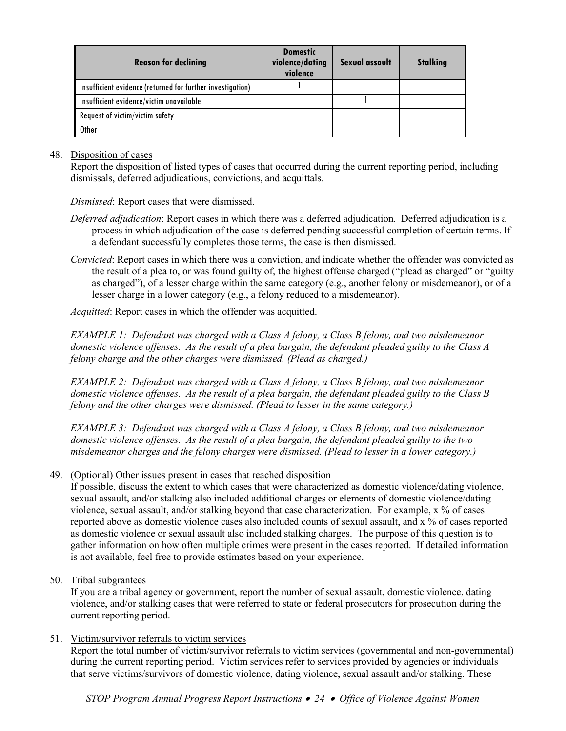| <b>Reason for declining</b>                                | <b>Domestic</b><br>violence/dating<br>violence | Sexual assault | <b>Stalking</b> |
|------------------------------------------------------------|------------------------------------------------|----------------|-----------------|
| Insufficient evidence (returned for further investigation) |                                                |                |                 |
| Insufficient evidence/victim unavailable                   |                                                |                |                 |
| Request of victim/victim safety                            |                                                |                |                 |
| <b>Other</b>                                               |                                                |                |                 |

### 48. Disposition of cases

Report the disposition of listed types of cases that occurred during the current reporting period, including dismissals, deferred adjudications, convictions, and acquittals.

*Dismissed*: Report cases that were dismissed.

- *Deferred adjudication*: Report cases in which there was a deferred adjudication.Deferred adjudication is a process in which adjudication of the case is deferred pending successful completion of certain terms. If a defendant successfully completes those terms, the case is then dismissed.
- *Convicted*: Report cases in which there was a conviction, and indicate whether the offender was convicted as the result of a plea to, or was found guilty of, the highest offense charged ("plead as charged" or "guilty as charged"), of a lesser charge within the same category (e.g., another felony or misdemeanor), or of a lesser charge in a lower category (e.g., a felony reduced to a misdemeanor).
- *Acquitted*: Report cases in which the offender was acquitted.

*EXAMPLE 1: Defendant was charged with a Class A felony, a Class B felony, and two misdemeanor domestic violence offenses. As the result of a plea bargain, the defendant pleaded guilty to the Class A felony charge and the other charges were dismissed. (Plead as charged.)*

*EXAMPLE 2: Defendant was charged with a Class A felony, a Class B felony, and two misdemeanor domestic violence offenses. As the result of a plea bargain, the defendant pleaded guilty to the Class B felony and the other charges were dismissed. (Plead to lesser in the same category.)*

*EXAMPLE 3: Defendant was charged with a Class A felony, a Class B felony, and two misdemeanor domestic violence offenses. As the result of a plea bargain, the defendant pleaded guilty to the two misdemeanor charges and the felony charges were dismissed. (Plead to lesser in a lower category.)*

49. (Optional) Other issues present in cases that reached disposition

If possible, discuss the extent to which cases that were characterized as domestic violence/dating violence, sexual assault, and/or stalking also included additional charges or elements of domestic violence/dating violence, sexual assault, and/or stalking beyond that case characterization. For example, x % of cases reported above as domestic violence cases also included counts of sexual assault, and x % of cases reported as domestic violence or sexual assault also included stalking charges. The purpose of this question is to gather information on how often multiple crimes were present in the cases reported. If detailed information is not available, feel free to provide estimates based on your experience.

50. Tribal subgrantees

If you are a tribal agency or government, report the number of sexual assault, domestic violence, dating violence, and/or stalking cases that were referred to state or federal prosecutors for prosecution during the current reporting period.

51. Victim/survivor referrals to victim services

Report the total number of victim/survivor referrals to victim services (governmental and non-governmental) during the current reporting period. Victim services refer to services provided by agencies or individuals that serve victims/survivors of domestic violence, dating violence, sexual assault and/or stalking. These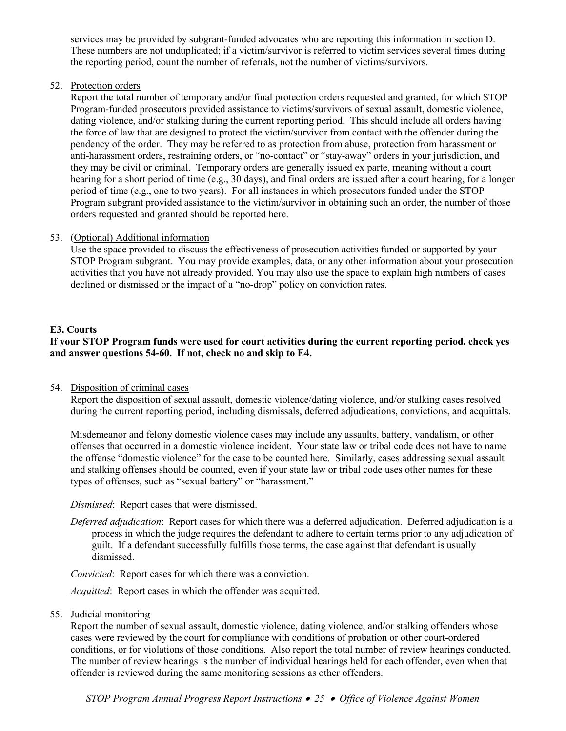services may be provided by subgrant-funded advocates who are reporting this information in section D. These numbers are not unduplicated; if a victim/survivor is referred to victim services several times during the reporting period, count the number of referrals, not the number of victims/survivors.

## 52. Protection orders

Report the total number of temporary and/or final protection orders requested and granted, for which STOP Program-funded prosecutors provided assistance to victims/survivors of sexual assault, domestic violence, dating violence, and/or stalking during the current reporting period. This should include all orders having the force of law that are designed to protect the victim/survivor from contact with the offender during the pendency of the order. They may be referred to as protection from abuse, protection from harassment or anti-harassment orders, restraining orders, or "no-contact" or "stay-away" orders in your jurisdiction, and they may be civil or criminal. Temporary orders are generally issued ex parte, meaning without a court hearing for a short period of time (e.g., 30 days), and final orders are issued after a court hearing, for a longer period of time (e.g., one to two years). For all instances in which prosecutors funded under the STOP Program subgrant provided assistance to the victim/survivor in obtaining such an order, the number of those orders requested and granted should be reported here.

### 53. (Optional) Additional information

Use the space provided to discuss the effectiveness of prosecution activities funded or supported by your STOP Program subgrant. You may provide examples, data, or any other information about your prosecution activities that you have not already provided. You may also use the space to explain high numbers of cases declined or dismissed or the impact of a "no-drop" policy on conviction rates.

# **E3. Courts**

## **If your STOP Program funds were used for court activities during the current reporting period, check yes and answer questions 54-60. If not, check no and skip to E4.**

### 54. Disposition of criminal cases

Report the disposition of sexual assault, domestic violence/dating violence, and/or stalking cases resolved during the current reporting period, including dismissals, deferred adjudications, convictions, and acquittals.

Misdemeanor and felony domestic violence cases may include any assaults, battery, vandalism, or other offenses that occurred in a domestic violence incident. Your state law or tribal code does not have to name the offense "domestic violence" for the case to be counted here. Similarly, cases addressing sexual assault and stalking offenses should be counted, even if your state law or tribal code uses other names for these types of offenses, such as "sexual battery" or "harassment."

*Dismissed*: Report cases that were dismissed.

*Deferred adjudication*: Report cases for which there was a deferred adjudication.Deferred adjudication is a process in which the judge requires the defendant to adhere to certain terms prior to any adjudication of guilt. If a defendant successfully fulfills those terms, the case against that defendant is usually dismissed.

*Convicted*: Report cases for which there was a conviction.

*Acquitted*: Report cases in which the offender was acquitted.

55. Judicial monitoring

Report the number of sexual assault, domestic violence, dating violence, and/or stalking offenders whose cases were reviewed by the court for compliance with conditions of probation or other court-ordered conditions, or for violations of those conditions. Also report the total number of review hearings conducted. The number of review hearings is the number of individual hearings held for each offender, even when that offender is reviewed during the same monitoring sessions as other offenders.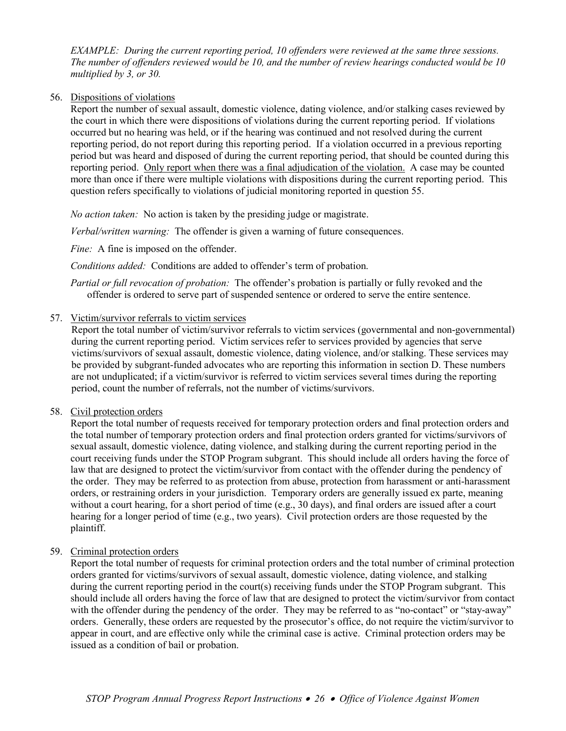*EXAMPLE: During the current reporting period, 10 offenders were reviewed at the same three sessions. The number of offenders reviewed would be 10, and the number of review hearings conducted would be 10 multiplied by 3, or 30.*

### 56. Dispositions of violations

Report the number of sexual assault, domestic violence, dating violence, and/or stalking cases reviewed by the court in which there were dispositions of violations during the current reporting period. If violations occurred but no hearing was held, or if the hearing was continued and not resolved during the current reporting period, do not report during this reporting period. If a violation occurred in a previous reporting period but was heard and disposed of during the current reporting period, that should be counted during this reporting period. Only report when there was a final adjudication of the violation. A case may be counted more than once if there were multiple violations with dispositions during the current reporting period. This question refers specifically to violations of judicial monitoring reported in question 55.

*No action taken:* No action is taken by the presiding judge or magistrate.

*Verbal/written warning:*The offender is given a warning of future consequences.

*Fine:* A fine is imposed on the offender.

*Conditions added:* Conditions are added to offender's term of probation.

*Partial or full revocation of probation:* The offender's probation is partially or fully revoked and the offender is ordered to serve part of suspended sentence or ordered to serve the entire sentence.

### 57. Victim/survivor referrals to victim services

Report the total number of victim/survivor referrals to victim services (governmental and non-governmental) during the current reporting period. Victim services refer to services provided by agencies that serve victims/survivors of sexual assault, domestic violence, dating violence, and/or stalking. These services may be provided by subgrant-funded advocates who are reporting this information in section D. These numbers are not unduplicated; if a victim/survivor is referred to victim services several times during the reporting period, count the number of referrals, not the number of victims/survivors.

### 58. Civil protection orders

Report the total number of requests received for temporary protection orders and final protection orders and the total number of temporary protection orders and final protection orders granted for victims/survivors of sexual assault, domestic violence, dating violence, and stalking during the current reporting period in the court receiving funds under the STOP Program subgrant. This should include all orders having the force of law that are designed to protect the victim/survivor from contact with the offender during the pendency of the order. They may be referred to as protection from abuse, protection from harassment or anti-harassment orders, or restraining orders in your jurisdiction. Temporary orders are generally issued ex parte, meaning without a court hearing, for a short period of time (e.g., 30 days), and final orders are issued after a court hearing for a longer period of time (e.g., two years). Civil protection orders are those requested by the plaintiff.

### 59. Criminal protection orders

Report the total number of requests for criminal protection orders and the total number of criminal protection orders granted for victims/survivors of sexual assault, domestic violence, dating violence, and stalking during the current reporting period in the court(s) receiving funds under the STOP Program subgrant. This should include all orders having the force of law that are designed to protect the victim/survivor from contact with the offender during the pendency of the order. They may be referred to as "no-contact" or "stay-away" orders. Generally, these orders are requested by the prosecutor's office, do not require the victim/survivor to appear in court, and are effective only while the criminal case is active. Criminal protection orders may be issued as a condition of bail or probation.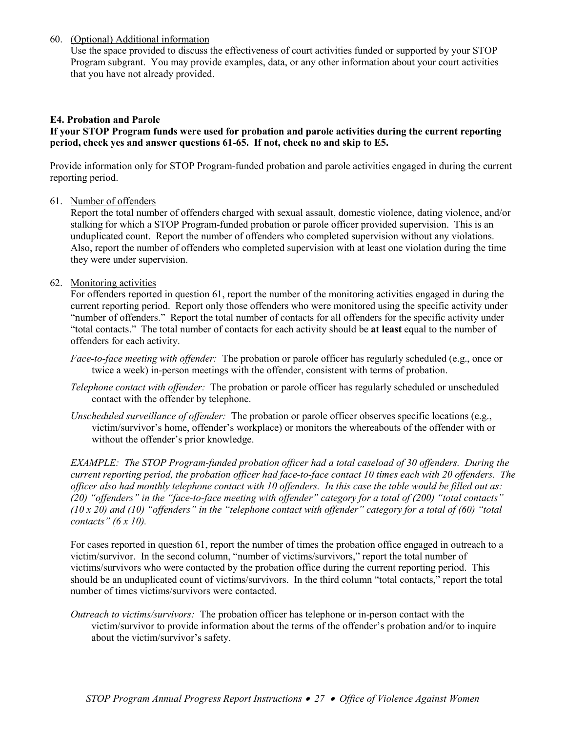### 60. (Optional) Additional information

Use the space provided to discuss the effectiveness of court activities funded or supported by your STOP Program subgrant. You may provide examples, data, or any other information about your court activities that you have not already provided.

### **E4. Probation and Parole**

### **If your STOP Program funds were used for probation and parole activities during the current reporting period, check yes and answer questions 61-65. If not, check no and skip to E5.**

Provide information only for STOP Program-funded probation and parole activities engaged in during the current reporting period.

### 61. Number of offenders

Report the total number of offenders charged with sexual assault, domestic violence, dating violence, and/or stalking for which a STOP Program-funded probation or parole officer provided supervision. This is an unduplicated count. Report the number of offenders who completed supervision without any violations. Also, report the number of offenders who completed supervision with at least one violation during the time they were under supervision.

### 62. Monitoring activities

For offenders reported in question 61, report the number of the monitoring activities engaged in during the current reporting period. Report only those offenders who were monitored using the specific activity under "number of offenders." Report the total number of contacts for all offenders for the specific activity under "total contacts." The total number of contacts for each activity should be **at least** equal to the number of offenders for each activity.

- *Face-to-face meeting with offender:* The probation or parole officer has regularly scheduled (e.g., once or twice a week) in-person meetings with the offender, consistent with terms of probation.
- *Telephone contact with offender:* The probation or parole officer has regularly scheduled or unscheduled contact with the offender by telephone.
- *Unscheduled surveillance of offender:* The probation or parole officer observes specific locations (e.g., victim/survivor's home, offender's workplace) or monitors the whereabouts of the offender with or without the offender's prior knowledge.

*EXAMPLE: The STOP Program-funded probation officer had a total caseload of 30 offenders. During the current reporting period, the probation officer had face-to-face contact 10 times each with 20 offenders. The officer also had monthly telephone contact with 10 offenders. In this case the table would be filled out as: (20) "offenders" in the "face-to-face meeting with offender" category for a total of (200) "total contacts" (10 x 20) and (10) "offenders" in the "telephone contact with offender" category for a total of (60) "total contacts" (6 x 10).*

For cases reported in question 61, report the number of times the probation office engaged in outreach to a victim/survivor. In the second column, "number of victims/survivors," report the total number of victims/survivors who were contacted by the probation office during the current reporting period. This should be an unduplicated count of victims/survivors. In the third column "total contacts," report the total number of times victims/survivors were contacted.

*Outreach to victims/survivors:* The probation officer has telephone or in-person contact with the victim/survivor to provide information about the terms of the offender's probation and/or to inquire about the victim/survivor's safety.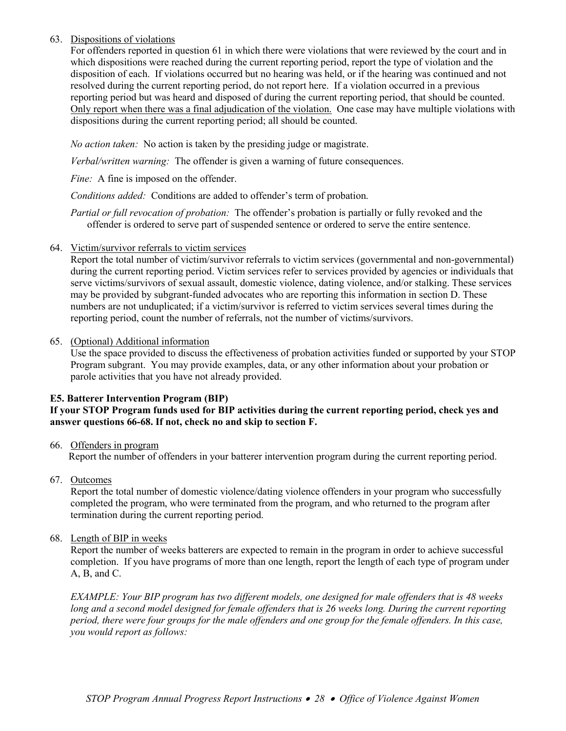## 63. Dispositions of violations

For offenders reported in question 61 in which there were violations that were reviewed by the court and in which dispositions were reached during the current reporting period, report the type of violation and the disposition of each. If violations occurred but no hearing was held, or if the hearing was continued and not resolved during the current reporting period, do not report here. If a violation occurred in a previous reporting period but was heard and disposed of during the current reporting period, that should be counted. Only report when there was a final adjudication of the violation. One case may have multiple violations with dispositions during the current reporting period; all should be counted.

*No action taken:* No action is taken by the presiding judge or magistrate.

*Verbal/written warning:*The offender is given a warning of future consequences.

*Fine:* A fine is imposed on the offender.

*Conditions added:* Conditions are added to offender's term of probation.

*Partial or full revocation of probation:* The offender's probation is partially or fully revoked and the offender is ordered to serve part of suspended sentence or ordered to serve the entire sentence.

### 64. Victim/survivor referrals to victim services

Report the total number of victim/survivor referrals to victim services (governmental and non-governmental) during the current reporting period. Victim services refer to services provided by agencies or individuals that serve victims/survivors of sexual assault, domestic violence, dating violence, and/or stalking. These services may be provided by subgrant-funded advocates who are reporting this information in section D. These numbers are not unduplicated; if a victim/survivor is referred to victim services several times during the reporting period, count the number of referrals, not the number of victims/survivors.

### 65. (Optional) Additional information

Use the space provided to discuss the effectiveness of probation activities funded or supported by your STOP Program subgrant. You may provide examples, data, or any other information about your probation or parole activities that you have not already provided.

# **E5. Batterer Intervention Program (BIP)**

### **If your STOP Program funds used for BIP activities during the current reporting period, check yes and answer questions 66-68. If not, check no and skip to section F.**

### 66. Offenders in program

Report the number of offenders in your batterer intervention program during the current reporting period.

67. Outcomes

Report the total number of domestic violence/dating violence offenders in your program who successfully completed the program, who were terminated from the program, and who returned to the program after termination during the current reporting period.

### 68. Length of BIP in weeks

Report the number of weeks batterers are expected to remain in the program in order to achieve successful completion. If you have programs of more than one length, report the length of each type of program under A, B, and C.

*EXAMPLE: Your BIP program has two different models, one designed for male offenders that is 48 weeks long and a second model designed for female offenders that is 26 weeks long. During the current reporting period, there were four groups for the male offenders and one group for the female offenders. In this case, you would report as follows:*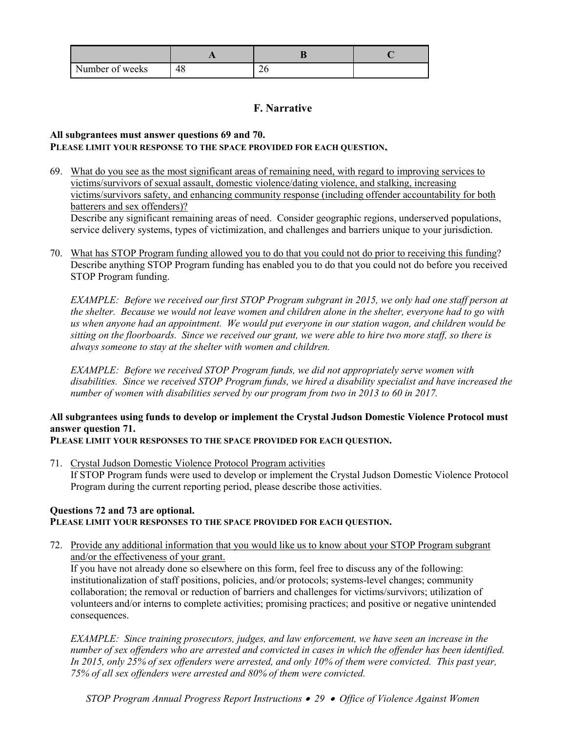| Number of weeks | 48 | ∠∪ |  |
|-----------------|----|----|--|

# **F. Narrative**

### **All subgrantees must answer questions 69 and 70. PLEASE LIMIT YOUR RESPONSE TO THE SPACE PROVIDED FOR EACH QUESTION.**

69. What do you see as the most significant areas of remaining need, with regard to improving services to victims/survivors of sexual assault, domestic violence/dating violence, and stalking, increasing victims/survivors safety, and enhancing community response (including offender accountability for both batterers and sex offenders)?

Describe any significant remaining areas of need. Consider geographic regions, underserved populations, service delivery systems, types of victimization, and challenges and barriers unique to your jurisdiction.

70. What has STOP Program funding allowed you to do that you could not do prior to receiving this funding? Describe anything STOP Program funding has enabled you to do that you could not do before you received STOP Program funding.

*EXAMPLE: Before we received our first STOP Program subgrant in 2015, we only had one staff person at the shelter. Because we would not leave women and children alone in the shelter, everyone had to go with us when anyone had an appointment. We would put everyone in our station wagon, and children would be sitting on the floorboards. Since we received our grant, we were able to hire two more staff, so there is always someone to stay at the shelter with women and children.* 

*EXAMPLE: Before we received STOP Program funds, we did not appropriately serve women with disabilities. Since we received STOP Program funds, we hired a disability specialist and have increased the number of women with disabilities served by our program from two in 2013 to 60 in 2017.*

# **All subgrantees using funds to develop or implement the Crystal Judson Domestic Violence Protocol must answer question 71.**

**PLEASE LIMIT YOUR RESPONSES TO THE SPACE PROVIDED FOR EACH QUESTION.** 

71. Crystal Judson Domestic Violence Protocol Program activities If STOP Program funds were used to develop or implement the Crystal Judson Domestic Violence Protocol Program during the current reporting period, please describe those activities.

### **Questions 72 and 73 are optional. PLEASE LIMIT YOUR RESPONSES TO THE SPACE PROVIDED FOR EACH QUESTION.**

72. Provide any additional information that you would like us to know about your STOP Program subgrant and/or the effectiveness of your grant.

If you have not already done so elsewhere on this form, feel free to discuss any of the following: institutionalization of staff positions, policies, and/or protocols; systems-level changes; community collaboration; the removal or reduction of barriers and challenges for victims/survivors; utilization of volunteers and/or interns to complete activities; promising practices; and positive or negative unintended consequences.

*EXAMPLE: Since training prosecutors, judges, and law enforcement, we have seen an increase in the number of sex offenders who are arrested and convicted in cases in which the offender has been identified. In 2015, only 25% of sex offenders were arrested, and only 10% of them were convicted. This past year, 75% of all sex offenders were arrested and 80% of them were convicted.*